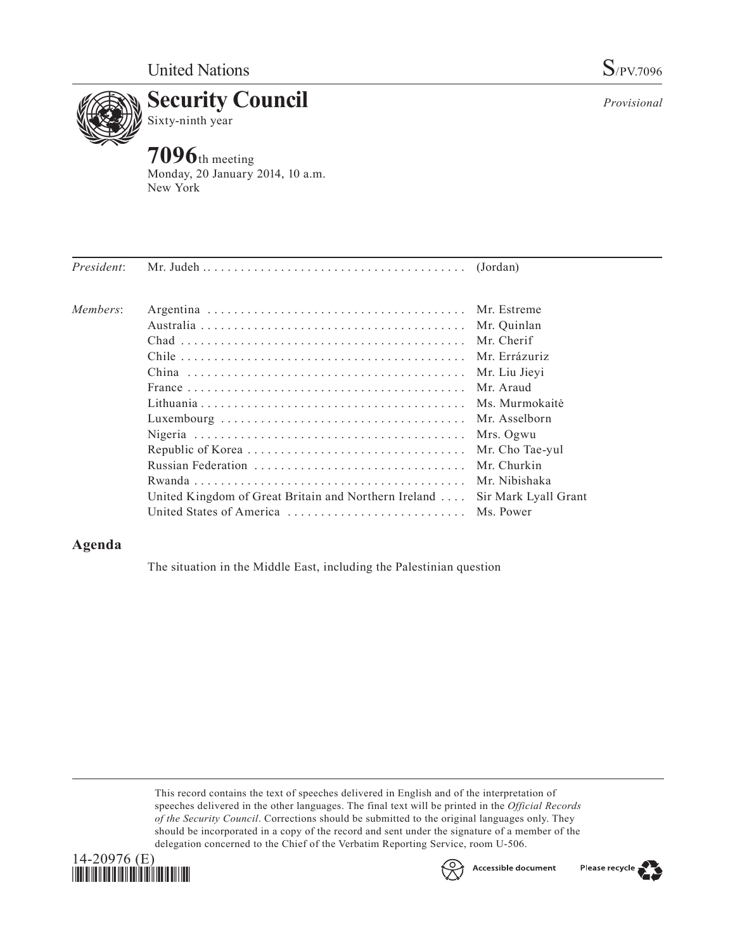

**7096**th meeting Monday, 20 January 2014, 10 a.m. New York

| President: |                                                      |                      |
|------------|------------------------------------------------------|----------------------|
| Members:   |                                                      | Mr. Estreme          |
|            |                                                      | Mr. Quinlan          |
|            |                                                      | Mr. Cherif           |
|            |                                                      | Mr. Errázuriz        |
|            |                                                      | Mr. Liu Jievi        |
|            |                                                      | Mr. Araud            |
|            |                                                      | Ms. Murmokaitė       |
|            |                                                      |                      |
|            |                                                      | Mrs. Ogwu            |
|            |                                                      | Mr. Cho Tae-yul      |
|            |                                                      | Mr. Churkin          |
|            |                                                      | Mr. Nibishaka        |
|            | United Kingdom of Great Britain and Northern Ireland | Sir Mark Lyall Grant |
|            | United States of America  Ms. Power                  |                      |

## **Agenda**

The situation in the Middle East, including the Palestinian question

This record contains the text of speeches delivered in English and of the interpretation of speeches delivered in the other languages. The final text will be printed in the *Official Records of the Security Council*. Corrections should be submitted to the original languages only. They should be incorporated in a copy of the record and sent under the signature of a member of the delegation concerned to the Chief of the Verbatim Reporting Service, room U-506.





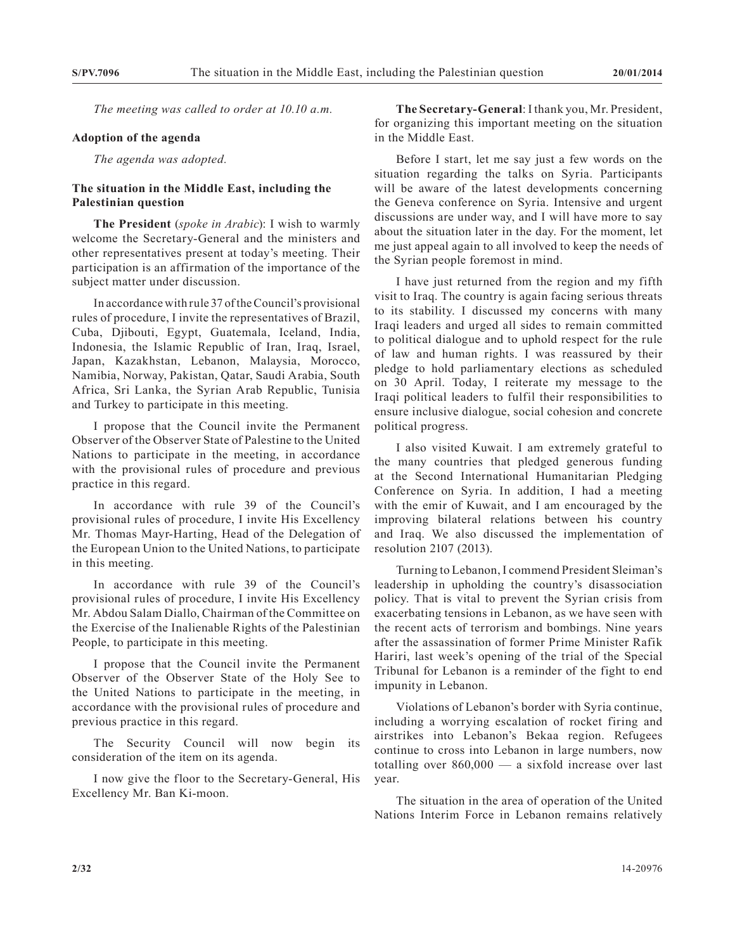*The meeting was called to order at 10.10 a.m.*

## **Adoption of the agenda**

*The agenda was adopted.*

## **The situation in the Middle East, including the Palestinian question**

**The President** (*spoke in Arabic*): I wish to warmly welcome the Secretary-General and the ministers and other representatives present at today's meeting. Their participation is an affirmation of the importance of the subject matter under discussion.

In accordance with rule 37 of the Council's provisional rules of procedure, I invite the representatives of Brazil, Cuba, Djibouti, Egypt, Guatemala, Iceland, India, Indonesia, the Islamic Republic of Iran, Iraq, Israel, Japan, Kazakhstan, Lebanon, Malaysia, Morocco, Namibia, Norway, Pakistan, Qatar, Saudi Arabia, South Africa, Sri Lanka, the Syrian Arab Republic, Tunisia and Turkey to participate in this meeting.

I propose that the Council invite the Permanent Observer of the Observer State of Palestine to the United Nations to participate in the meeting, in accordance with the provisional rules of procedure and previous practice in this regard.

In accordance with rule 39 of the Council's provisional rules of procedure, I invite His Excellency Mr. Thomas Mayr-Harting, Head of the Delegation of the European Union to the United Nations, to participate in this meeting.

In accordance with rule 39 of the Council's provisional rules of procedure, I invite His Excellency Mr. Abdou Salam Diallo, Chairman of the Committee on the Exercise of the Inalienable Rights of the Palestinian People, to participate in this meeting.

I propose that the Council invite the Permanent Observer of the Observer State of the Holy See to the United Nations to participate in the meeting, in accordance with the provisional rules of procedure and previous practice in this regard.

The Security Council will now begin its consideration of the item on its agenda.

I now give the floor to the Secretary-General, His Excellency Mr. Ban Ki-moon.

**The Secretary-General**: I thank you, Mr. President, for organizing this important meeting on the situation in the Middle East.

Before I start, let me say just a few words on the situation regarding the talks on Syria. Participants will be aware of the latest developments concerning the Geneva conference on Syria. Intensive and urgent discussions are under way, and I will have more to say about the situation later in the day. For the moment, let me just appeal again to all involved to keep the needs of the Syrian people foremost in mind.

I have just returned from the region and my fifth visit to Iraq. The country is again facing serious threats to its stability. I discussed my concerns with many Iraqi leaders and urged all sides to remain committed to political dialogue and to uphold respect for the rule of law and human rights. I was reassured by their pledge to hold parliamentary elections as scheduled on 30 April. Today, I reiterate my message to the Iraqi political leaders to fulfil their responsibilities to ensure inclusive dialogue, social cohesion and concrete political progress.

I also visited Kuwait. I am extremely grateful to the many countries that pledged generous funding at the Second International Humanitarian Pledging Conference on Syria. In addition, I had a meeting with the emir of Kuwait, and I am encouraged by the improving bilateral relations between his country and Iraq. We also discussed the implementation of resolution 2107 (2013).

Turning to Lebanon, I commend President Sleiman's leadership in upholding the country's disassociation policy. That is vital to prevent the Syrian crisis from exacerbating tensions in Lebanon, as we have seen with the recent acts of terrorism and bombings. Nine years after the assassination of former Prime Minister Rafik Hariri, last week's opening of the trial of the Special Tribunal for Lebanon is a reminder of the fight to end impunity in Lebanon.

Violations of Lebanon's border with Syria continue, including a worrying escalation of rocket firing and airstrikes into Lebanon's Bekaa region. Refugees continue to cross into Lebanon in large numbers, now totalling over 860,000 — a sixfold increase over last year.

The situation in the area of operation of the United Nations Interim Force in Lebanon remains relatively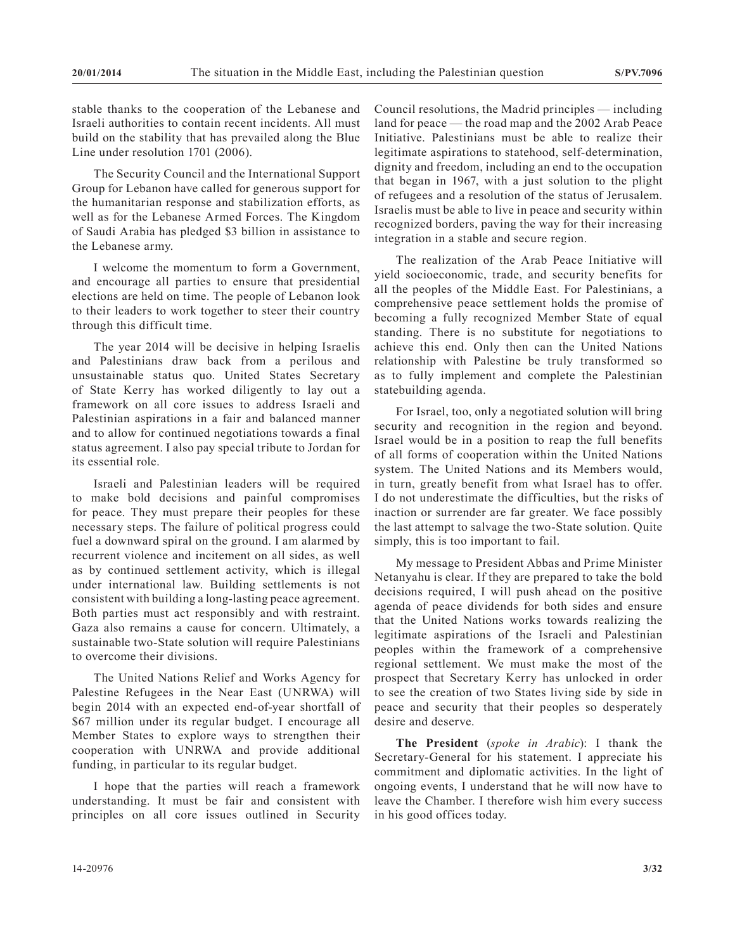stable thanks to the cooperation of the Lebanese and Israeli authorities to contain recent incidents. All must build on the stability that has prevailed along the Blue Line under resolution 1701 (2006).

The Security Council and the International Support Group for Lebanon have called for generous support for the humanitarian response and stabilization efforts, as well as for the Lebanese Armed Forces. The Kingdom of Saudi Arabia has pledged \$3 billion in assistance to the Lebanese army.

I welcome the momentum to form a Government, and encourage all parties to ensure that presidential elections are held on time. The people of Lebanon look to their leaders to work together to steer their country through this difficult time.

The year 2014 will be decisive in helping Israelis and Palestinians draw back from a perilous and unsustainable status quo. United States Secretary of State Kerry has worked diligently to lay out a framework on all core issues to address Israeli and Palestinian aspirations in a fair and balanced manner and to allow for continued negotiations towards a final status agreement. I also pay special tribute to Jordan for its essential role.

Israeli and Palestinian leaders will be required to make bold decisions and painful compromises for peace. They must prepare their peoples for these necessary steps. The failure of political progress could fuel a downward spiral on the ground. I am alarmed by recurrent violence and incitement on all sides, as well as by continued settlement activity, which is illegal under international law. Building settlements is not consistent with building a long-lasting peace agreement. Both parties must act responsibly and with restraint. Gaza also remains a cause for concern. Ultimately, a sustainable two-State solution will require Palestinians to overcome their divisions.

The United Nations Relief and Works Agency for Palestine Refugees in the Near East (UNRWA) will begin 2014 with an expected end-of-year shortfall of \$67 million under its regular budget. I encourage all Member States to explore ways to strengthen their cooperation with UNRWA and provide additional funding, in particular to its regular budget.

I hope that the parties will reach a framework understanding. It must be fair and consistent with principles on all core issues outlined in Security Council resolutions, the Madrid principles — including land for peace — the road map and the 2002 Arab Peace Initiative. Palestinians must be able to realize their legitimate aspirations to statehood, self-determination, dignity and freedom, including an end to the occupation that began in 1967, with a just solution to the plight of refugees and a resolution of the status of Jerusalem. Israelis must be able to live in peace and security within recognized borders, paving the way for their increasing integration in a stable and secure region.

The realization of the Arab Peace Initiative will yield socioeconomic, trade, and security benefits for all the peoples of the Middle East. For Palestinians, a comprehensive peace settlement holds the promise of becoming a fully recognized Member State of equal standing. There is no substitute for negotiations to achieve this end. Only then can the United Nations relationship with Palestine be truly transformed so as to fully implement and complete the Palestinian statebuilding agenda.

For Israel, too, only a negotiated solution will bring security and recognition in the region and beyond. Israel would be in a position to reap the full benefits of all forms of cooperation within the United Nations system. The United Nations and its Members would, in turn, greatly benefit from what Israel has to offer. I do not underestimate the difficulties, but the risks of inaction or surrender are far greater. We face possibly the last attempt to salvage the two-State solution. Quite simply, this is too important to fail.

My message to President Abbas and Prime Minister Netanyahu is clear. If they are prepared to take the bold decisions required, I will push ahead on the positive agenda of peace dividends for both sides and ensure that the United Nations works towards realizing the legitimate aspirations of the Israeli and Palestinian peoples within the framework of a comprehensive regional settlement. We must make the most of the prospect that Secretary Kerry has unlocked in order to see the creation of two States living side by side in peace and security that their peoples so desperately desire and deserve.

**The President** (*spoke in Arabic*): I thank the Secretary-General for his statement. I appreciate his commitment and diplomatic activities. In the light of ongoing events, I understand that he will now have to leave the Chamber. I therefore wish him every success in his good offices today.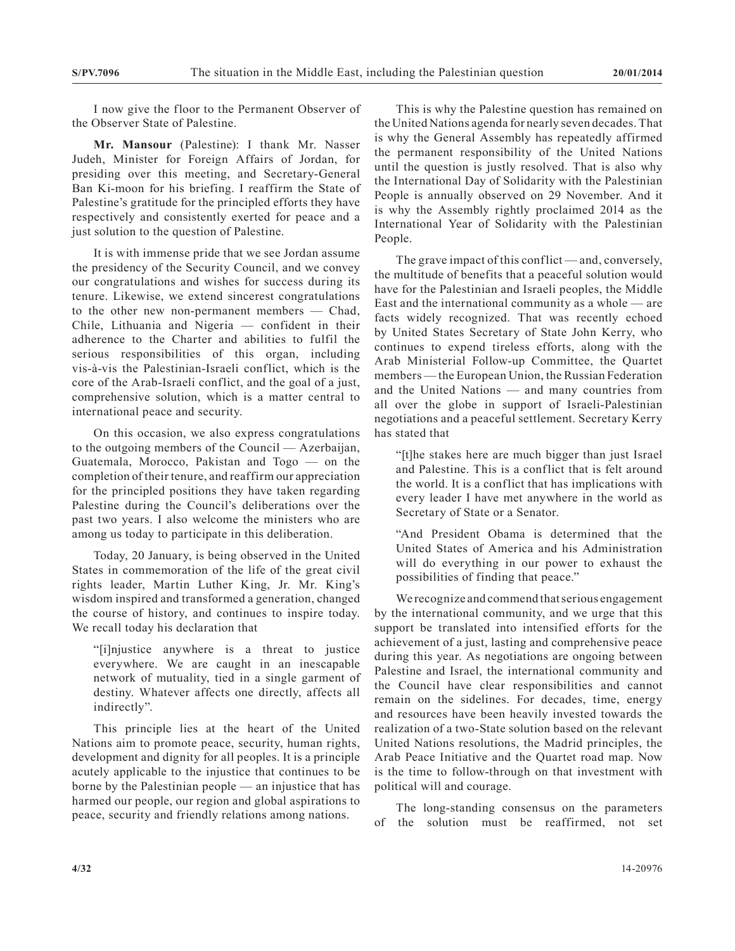I now give the floor to the Permanent Observer of the Observer State of Palestine.

**Mr. Mansour** (Palestine): I thank Mr. Nasser Judeh, Minister for Foreign Affairs of Jordan, for presiding over this meeting, and Secretary-General Ban Ki-moon for his briefing. I reaffirm the State of Palestine's gratitude for the principled efforts they have respectively and consistently exerted for peace and a just solution to the question of Palestine.

It is with immense pride that we see Jordan assume the presidency of the Security Council, and we convey our congratulations and wishes for success during its tenure. Likewise, we extend sincerest congratulations to the other new non-permanent members — Chad, Chile, Lithuania and Nigeria — confident in their adherence to the Charter and abilities to fulfil the serious responsibilities of this organ, including vis-à-vis the Palestinian-Israeli conflict, which is the core of the Arab-Israeli conflict, and the goal of a just, comprehensive solution, which is a matter central to international peace and security.

On this occasion, we also express congratulations to the outgoing members of the Council — Azerbaijan, Guatemala, Morocco, Pakistan and Togo — on the completion of their tenure, and reaffirm our appreciation for the principled positions they have taken regarding Palestine during the Council's deliberations over the past two years. I also welcome the ministers who are among us today to participate in this deliberation.

Today, 20 January, is being observed in the United States in commemoration of the life of the great civil rights leader, Martin Luther King, Jr. Mr. King's wisdom inspired and transformed a generation, changed the course of history, and continues to inspire today. We recall today his declaration that

"[i]njustice anywhere is a threat to justice everywhere. We are caught in an inescapable network of mutuality, tied in a single garment of destiny. Whatever affects one directly, affects all indirectly".

This principle lies at the heart of the United Nations aim to promote peace, security, human rights, development and dignity for all peoples. It is a principle acutely applicable to the injustice that continues to be borne by the Palestinian people — an injustice that has harmed our people, our region and global aspirations to peace, security and friendly relations among nations.

This is why the Palestine question has remained on the United Nations agenda for nearly seven decades. That is why the General Assembly has repeatedly affirmed the permanent responsibility of the United Nations until the question is justly resolved. That is also why the International Day of Solidarity with the Palestinian People is annually observed on 29 November. And it is why the Assembly rightly proclaimed 2014 as the International Year of Solidarity with the Palestinian People.

The grave impact of this conflict — and, conversely, the multitude of benefits that a peaceful solution would have for the Palestinian and Israeli peoples, the Middle East and the international community as a whole — are facts widely recognized. That was recently echoed by United States Secretary of State John Kerry, who continues to expend tireless efforts, along with the Arab Ministerial Follow-up Committee, the Quartet members — the European Union, the Russian Federation and the United Nations — and many countries from all over the globe in support of Israeli-Palestinian negotiations and a peaceful settlement. Secretary Kerry has stated that

"[t]he stakes here are much bigger than just Israel and Palestine. This is a conflict that is felt around the world. It is a conflict that has implications with every leader I have met anywhere in the world as Secretary of State or a Senator.

"And President Obama is determined that the United States of America and his Administration will do everything in our power to exhaust the possibilities of finding that peace."

We recognize and commend that serious engagement by the international community, and we urge that this support be translated into intensified efforts for the achievement of a just, lasting and comprehensive peace during this year. As negotiations are ongoing between Palestine and Israel, the international community and the Council have clear responsibilities and cannot remain on the sidelines. For decades, time, energy and resources have been heavily invested towards the realization of a two-State solution based on the relevant United Nations resolutions, the Madrid principles, the Arab Peace Initiative and the Quartet road map. Now is the time to follow-through on that investment with political will and courage.

The long-standing consensus on the parameters of the solution must be reaffirmed, not set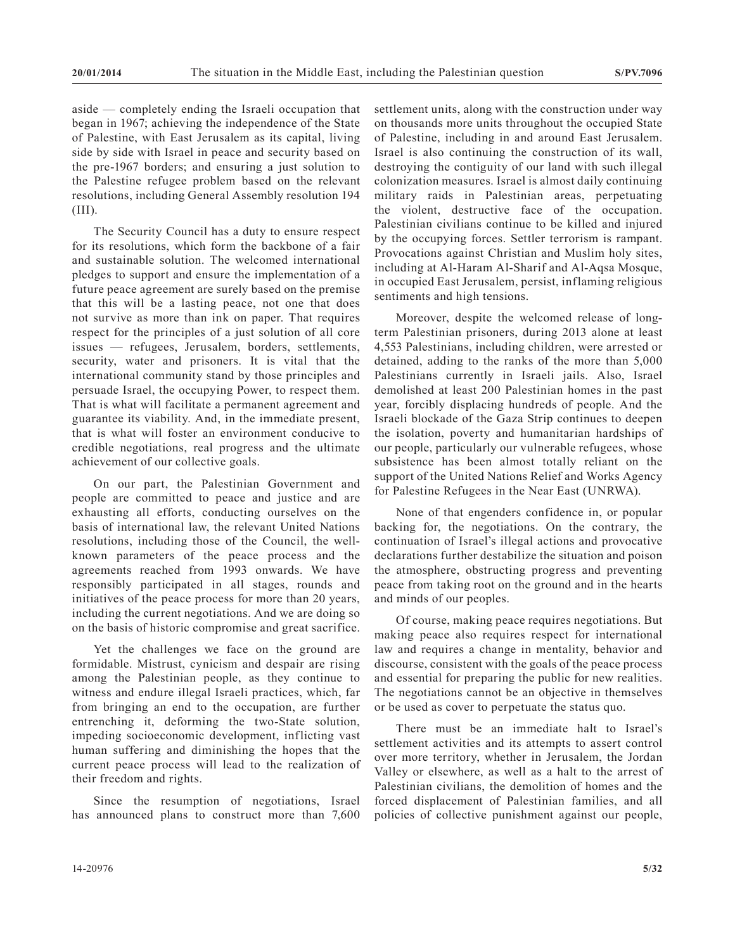aside — completely ending the Israeli occupation that began in 1967; achieving the independence of the State of Palestine, with East Jerusalem as its capital, living side by side with Israel in peace and security based on the pre-1967 borders; and ensuring a just solution to the Palestine refugee problem based on the relevant resolutions, including General Assembly resolution 194 (III).

The Security Council has a duty to ensure respect for its resolutions, which form the backbone of a fair and sustainable solution. The welcomed international pledges to support and ensure the implementation of a future peace agreement are surely based on the premise that this will be a lasting peace, not one that does not survive as more than ink on paper. That requires respect for the principles of a just solution of all core issues — refugees, Jerusalem, borders, settlements, security, water and prisoners. It is vital that the international community stand by those principles and persuade Israel, the occupying Power, to respect them. That is what will facilitate a permanent agreement and guarantee its viability. And, in the immediate present, that is what will foster an environment conducive to credible negotiations, real progress and the ultimate achievement of our collective goals.

On our part, the Palestinian Government and people are committed to peace and justice and are exhausting all efforts, conducting ourselves on the basis of international law, the relevant United Nations resolutions, including those of the Council, the wellknown parameters of the peace process and the agreements reached from 1993 onwards. We have responsibly participated in all stages, rounds and initiatives of the peace process for more than 20 years, including the current negotiations. And we are doing so on the basis of historic compromise and great sacrifice.

Yet the challenges we face on the ground are formidable. Mistrust, cynicism and despair are rising among the Palestinian people, as they continue to witness and endure illegal Israeli practices, which, far from bringing an end to the occupation, are further entrenching it, deforming the two-State solution, impeding socioeconomic development, inflicting vast human suffering and diminishing the hopes that the current peace process will lead to the realization of their freedom and rights.

Since the resumption of negotiations, Israel has announced plans to construct more than 7,600 settlement units, along with the construction under way on thousands more units throughout the occupied State of Palestine, including in and around East Jerusalem. Israel is also continuing the construction of its wall, destroying the contiguity of our land with such illegal colonization measures. Israel is almost daily continuing military raids in Palestinian areas, perpetuating the violent, destructive face of the occupation. Palestinian civilians continue to be killed and injured by the occupying forces. Settler terrorism is rampant. Provocations against Christian and Muslim holy sites, including at Al-Haram Al-Sharif and Al-Aqsa Mosque, in occupied East Jerusalem, persist, inflaming religious sentiments and high tensions.

Moreover, despite the welcomed release of longterm Palestinian prisoners, during 2013 alone at least 4,553 Palestinians, including children, were arrested or detained, adding to the ranks of the more than 5,000 Palestinians currently in Israeli jails. Also, Israel demolished at least 200 Palestinian homes in the past year, forcibly displacing hundreds of people. And the Israeli blockade of the Gaza Strip continues to deepen the isolation, poverty and humanitarian hardships of our people, particularly our vulnerable refugees, whose subsistence has been almost totally reliant on the support of the United Nations Relief and Works Agency for Palestine Refugees in the Near East (UNRWA).

None of that engenders confidence in, or popular backing for, the negotiations. On the contrary, the continuation of Israel's illegal actions and provocative declarations further destabilize the situation and poison the atmosphere, obstructing progress and preventing peace from taking root on the ground and in the hearts and minds of our peoples.

Of course, making peace requires negotiations. But making peace also requires respect for international law and requires a change in mentality, behavior and discourse, consistent with the goals of the peace process and essential for preparing the public for new realities. The negotiations cannot be an objective in themselves or be used as cover to perpetuate the status quo.

There must be an immediate halt to Israel's settlement activities and its attempts to assert control over more territory, whether in Jerusalem, the Jordan Valley or elsewhere, as well as a halt to the arrest of Palestinian civilians, the demolition of homes and the forced displacement of Palestinian families, and all policies of collective punishment against our people,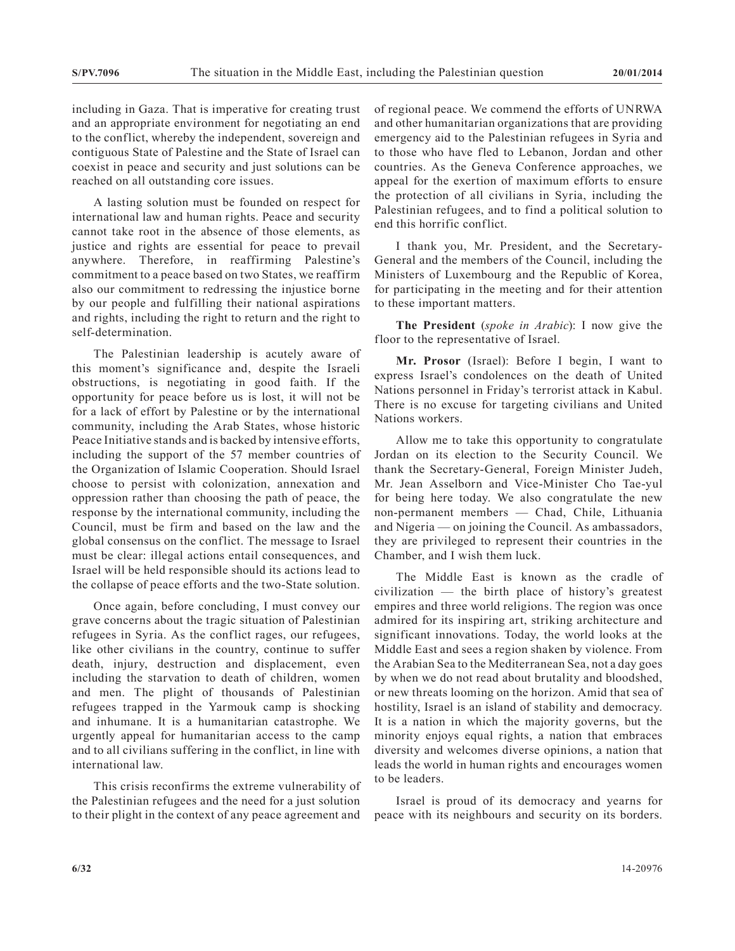including in Gaza. That is imperative for creating trust and an appropriate environment for negotiating an end to the conflict, whereby the independent, sovereign and contiguous State of Palestine and the State of Israel can coexist in peace and security and just solutions can be reached on all outstanding core issues.

A lasting solution must be founded on respect for international law and human rights. Peace and security cannot take root in the absence of those elements, as justice and rights are essential for peace to prevail anywhere. Therefore, in reaffirming Palestine's commitment to a peace based on two States, we reaffirm also our commitment to redressing the injustice borne by our people and fulfilling their national aspirations and rights, including the right to return and the right to self-determination.

The Palestinian leadership is acutely aware of this moment's significance and, despite the Israeli obstructions, is negotiating in good faith. If the opportunity for peace before us is lost, it will not be for a lack of effort by Palestine or by the international community, including the Arab States, whose historic Peace Initiative stands and is backed by intensive efforts, including the support of the 57 member countries of the Organization of Islamic Cooperation. Should Israel choose to persist with colonization, annexation and oppression rather than choosing the path of peace, the response by the international community, including the Council, must be firm and based on the law and the global consensus on the conflict. The message to Israel must be clear: illegal actions entail consequences, and Israel will be held responsible should its actions lead to the collapse of peace efforts and the two-State solution.

Once again, before concluding, I must convey our grave concerns about the tragic situation of Palestinian refugees in Syria. As the conflict rages, our refugees, like other civilians in the country, continue to suffer death, injury, destruction and displacement, even including the starvation to death of children, women and men. The plight of thousands of Palestinian refugees trapped in the Yarmouk camp is shocking and inhumane. It is a humanitarian catastrophe. We urgently appeal for humanitarian access to the camp and to all civilians suffering in the conflict, in line with international law.

This crisis reconfirms the extreme vulnerability of the Palestinian refugees and the need for a just solution to their plight in the context of any peace agreement and

of regional peace. We commend the efforts of UNRWA and other humanitarian organizations that are providing emergency aid to the Palestinian refugees in Syria and to those who have fled to Lebanon, Jordan and other countries. As the Geneva Conference approaches, we appeal for the exertion of maximum efforts to ensure the protection of all civilians in Syria, including the Palestinian refugees, and to find a political solution to end this horrific conflict.

I thank you, Mr. President, and the Secretary-General and the members of the Council, including the Ministers of Luxembourg and the Republic of Korea, for participating in the meeting and for their attention to these important matters.

**The President** (*spoke in Arabic*): I now give the floor to the representative of Israel.

**Mr. Prosor** (Israel): Before I begin, I want to express Israel's condolences on the death of United Nations personnel in Friday's terrorist attack in Kabul. There is no excuse for targeting civilians and United Nations workers.

Allow me to take this opportunity to congratulate Jordan on its election to the Security Council. We thank the Secretary-General, Foreign Minister Judeh, Mr. Jean Asselborn and Vice-Minister Cho Tae-yul for being here today. We also congratulate the new non-permanent members — Chad, Chile, Lithuania and Nigeria — on joining the Council. As ambassadors, they are privileged to represent their countries in the Chamber, and I wish them luck.

The Middle East is known as the cradle of civilization — the birth place of history's greatest empires and three world religions. The region was once admired for its inspiring art, striking architecture and significant innovations. Today, the world looks at the Middle East and sees a region shaken by violence. From the Arabian Sea to the Mediterranean Sea, not a day goes by when we do not read about brutality and bloodshed, or new threats looming on the horizon. Amid that sea of hostility, Israel is an island of stability and democracy. It is a nation in which the majority governs, but the minority enjoys equal rights, a nation that embraces diversity and welcomes diverse opinions, a nation that leads the world in human rights and encourages women to be leaders.

Israel is proud of its democracy and yearns for peace with its neighbours and security on its borders.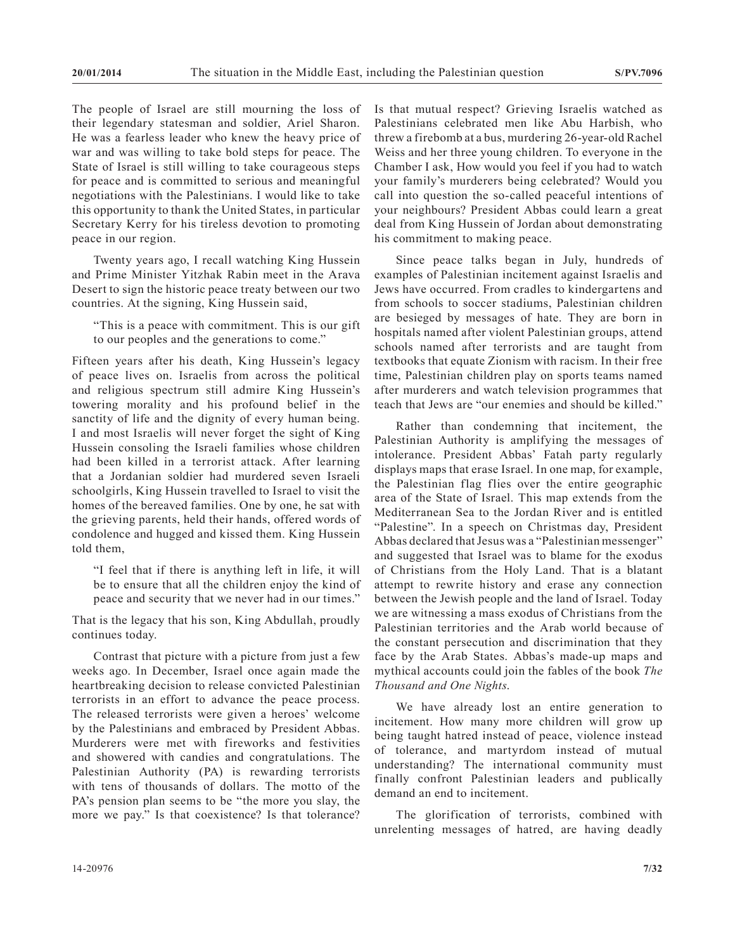The people of Israel are still mourning the loss of their legendary statesman and soldier, Ariel Sharon. He was a fearless leader who knew the heavy price of war and was willing to take bold steps for peace. The State of Israel is still willing to take courageous steps for peace and is committed to serious and meaningful negotiations with the Palestinians. I would like to take this opportunity to thank the United States, in particular Secretary Kerry for his tireless devotion to promoting peace in our region.

Twenty years ago, I recall watching King Hussein and Prime Minister Yitzhak Rabin meet in the Arava Desert to sign the historic peace treaty between our two countries. At the signing, King Hussein said,

"This is a peace with commitment. This is our gift to our peoples and the generations to come."

Fifteen years after his death, King Hussein's legacy of peace lives on. Israelis from across the political and religious spectrum still admire King Hussein's towering morality and his profound belief in the sanctity of life and the dignity of every human being. I and most Israelis will never forget the sight of King Hussein consoling the Israeli families whose children had been killed in a terrorist attack. After learning that a Jordanian soldier had murdered seven Israeli schoolgirls, King Hussein travelled to Israel to visit the homes of the bereaved families. One by one, he sat with the grieving parents, held their hands, offered words of condolence and hugged and kissed them. King Hussein told them,

"I feel that if there is anything left in life, it will be to ensure that all the children enjoy the kind of peace and security that we never had in our times."

That is the legacy that his son, King Abdullah, proudly continues today.

Contrast that picture with a picture from just a few weeks ago. In December, Israel once again made the heartbreaking decision to release convicted Palestinian terrorists in an effort to advance the peace process. The released terrorists were given a heroes' welcome by the Palestinians and embraced by President Abbas. Murderers were met with fireworks and festivities and showered with candies and congratulations. The Palestinian Authority (PA) is rewarding terrorists with tens of thousands of dollars. The motto of the PA's pension plan seems to be "the more you slay, the more we pay." Is that coexistence? Is that tolerance? Is that mutual respect? Grieving Israelis watched as Palestinians celebrated men like Abu Harbish, who threw a firebomb at a bus, murdering 26-year-old Rachel Weiss and her three young children. To everyone in the Chamber I ask, How would you feel if you had to watch your family's murderers being celebrated? Would you call into question the so-called peaceful intentions of your neighbours? President Abbas could learn a great deal from King Hussein of Jordan about demonstrating his commitment to making peace.

Since peace talks began in July, hundreds of examples of Palestinian incitement against Israelis and Jews have occurred. From cradles to kindergartens and from schools to soccer stadiums, Palestinian children are besieged by messages of hate. They are born in hospitals named after violent Palestinian groups, attend schools named after terrorists and are taught from textbooks that equate Zionism with racism. In their free time, Palestinian children play on sports teams named after murderers and watch television programmes that teach that Jews are "our enemies and should be killed."

Rather than condemning that incitement, the Palestinian Authority is amplifying the messages of intolerance. President Abbas' Fatah party regularly displays maps that erase Israel. In one map, for example, the Palestinian flag flies over the entire geographic area of the State of Israel. This map extends from the Mediterranean Sea to the Jordan River and is entitled "Palestine". In a speech on Christmas day, President Abbas declared that Jesus was a "Palestinian messenger" and suggested that Israel was to blame for the exodus of Christians from the Holy Land. That is a blatant attempt to rewrite history and erase any connection between the Jewish people and the land of Israel. Today we are witnessing a mass exodus of Christians from the Palestinian territories and the Arab world because of the constant persecution and discrimination that they face by the Arab States. Abbas's made-up maps and mythical accounts could join the fables of the book *The Thousand and One Nights*.

We have already lost an entire generation to incitement. How many more children will grow up being taught hatred instead of peace, violence instead of tolerance, and martyrdom instead of mutual understanding? The international community must finally confront Palestinian leaders and publically demand an end to incitement.

The glorification of terrorists, combined with unrelenting messages of hatred, are having deadly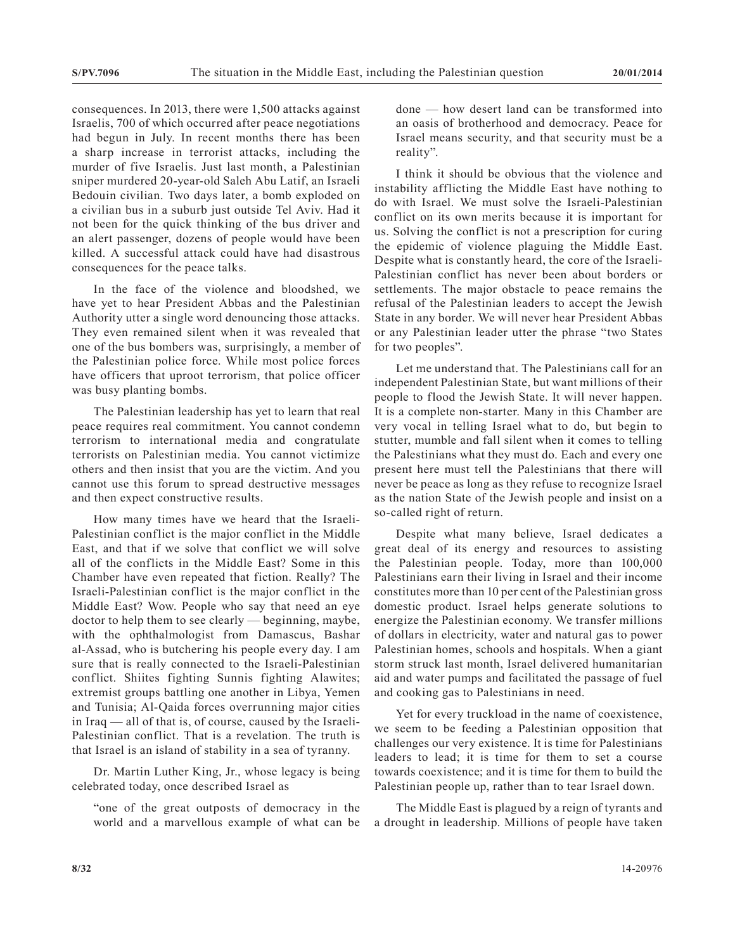consequences. In 2013, there were 1,500 attacks against Israelis, 700 of which occurred after peace negotiations had begun in July. In recent months there has been a sharp increase in terrorist attacks, including the murder of five Israelis. Just last month, a Palestinian sniper murdered 20-year-old Saleh Abu Latif, an Israeli Bedouin civilian. Two days later, a bomb exploded on a civilian bus in a suburb just outside Tel Aviv. Had it not been for the quick thinking of the bus driver and an alert passenger, dozens of people would have been killed. A successful attack could have had disastrous consequences for the peace talks.

In the face of the violence and bloodshed, we have yet to hear President Abbas and the Palestinian Authority utter a single word denouncing those attacks. They even remained silent when it was revealed that one of the bus bombers was, surprisingly, a member of the Palestinian police force. While most police forces have officers that uproot terrorism, that police officer was busy planting bombs.

The Palestinian leadership has yet to learn that real peace requires real commitment. You cannot condemn terrorism to international media and congratulate terrorists on Palestinian media. You cannot victimize others and then insist that you are the victim. And you cannot use this forum to spread destructive messages and then expect constructive results.

How many times have we heard that the Israeli-Palestinian conflict is the major conflict in the Middle East, and that if we solve that conflict we will solve all of the conflicts in the Middle East? Some in this Chamber have even repeated that fiction. Really? The Israeli-Palestinian conflict is the major conflict in the Middle East? Wow. People who say that need an eye doctor to help them to see clearly — beginning, maybe, with the ophthalmologist from Damascus, Bashar al-Assad, who is butchering his people every day. I am sure that is really connected to the Israeli-Palestinian conflict. Shiites fighting Sunnis fighting Alawites; extremist groups battling one another in Libya, Yemen and Tunisia; Al-Qaida forces overrunning major cities in Iraq — all of that is, of course, caused by the Israeli-Palestinian conflict. That is a revelation. The truth is that Israel is an island of stability in a sea of tyranny.

Dr. Martin Luther King, Jr., whose legacy is being celebrated today, once described Israel as

"one of the great outposts of democracy in the world and a marvellous example of what can be

done — how desert land can be transformed into an oasis of brotherhood and democracy. Peace for Israel means security, and that security must be a reality".

I think it should be obvious that the violence and instability afflicting the Middle East have nothing to do with Israel. We must solve the Israeli-Palestinian conflict on its own merits because it is important for us. Solving the conflict is not a prescription for curing the epidemic of violence plaguing the Middle East. Despite what is constantly heard, the core of the Israeli-Palestinian conflict has never been about borders or settlements. The major obstacle to peace remains the refusal of the Palestinian leaders to accept the Jewish State in any border. We will never hear President Abbas or any Palestinian leader utter the phrase "two States for two peoples".

Let me understand that. The Palestinians call for an independent Palestinian State, but want millions of their people to flood the Jewish State. It will never happen. It is a complete non-starter. Many in this Chamber are very vocal in telling Israel what to do, but begin to stutter, mumble and fall silent when it comes to telling the Palestinians what they must do. Each and every one present here must tell the Palestinians that there will never be peace as long as they refuse to recognize Israel as the nation State of the Jewish people and insist on a so-called right of return.

Despite what many believe, Israel dedicates a great deal of its energy and resources to assisting the Palestinian people. Today, more than 100,000 Palestinians earn their living in Israel and their income constitutes more than 10 per cent of the Palestinian gross domestic product. Israel helps generate solutions to energize the Palestinian economy. We transfer millions of dollars in electricity, water and natural gas to power Palestinian homes, schools and hospitals. When a giant storm struck last month, Israel delivered humanitarian aid and water pumps and facilitated the passage of fuel and cooking gas to Palestinians in need.

Yet for every truckload in the name of coexistence, we seem to be feeding a Palestinian opposition that challenges our very existence. It is time for Palestinians leaders to lead; it is time for them to set a course towards coexistence; and it is time for them to build the Palestinian people up, rather than to tear Israel down.

The Middle East is plagued by a reign of tyrants and a drought in leadership. Millions of people have taken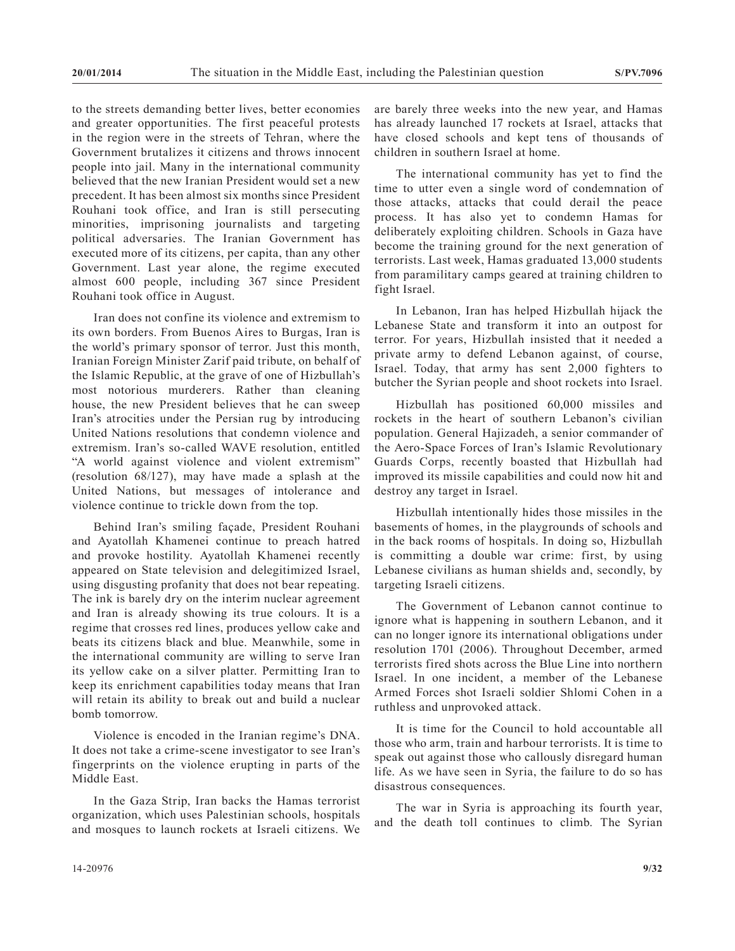to the streets demanding better lives, better economies and greater opportunities. The first peaceful protests in the region were in the streets of Tehran, where the Government brutalizes it citizens and throws innocent people into jail. Many in the international community believed that the new Iranian President would set a new precedent. It has been almost six months since President Rouhani took office, and Iran is still persecuting minorities, imprisoning journalists and targeting political adversaries. The Iranian Government has executed more of its citizens, per capita, than any other Government. Last year alone, the regime executed almost 600 people, including 367 since President Rouhani took office in August.

Iran does not confine its violence and extremism to its own borders. From Buenos Aires to Burgas, Iran is the world's primary sponsor of terror. Just this month, Iranian Foreign Minister Zarif paid tribute, on behalf of the Islamic Republic, at the grave of one of Hizbullah's most notorious murderers. Rather than cleaning house, the new President believes that he can sweep Iran's atrocities under the Persian rug by introducing United Nations resolutions that condemn violence and extremism. Iran's so-called WAVE resolution, entitled "A world against violence and violent extremism" (resolution 68/127), may have made a splash at the United Nations, but messages of intolerance and violence continue to trickle down from the top.

Behind Iran's smiling façade, President Rouhani and Ayatollah Khamenei continue to preach hatred and provoke hostility. Ayatollah Khamenei recently appeared on State television and delegitimized Israel, using disgusting profanity that does not bear repeating. The ink is barely dry on the interim nuclear agreement and Iran is already showing its true colours. It is a regime that crosses red lines, produces yellow cake and beats its citizens black and blue. Meanwhile, some in the international community are willing to serve Iran its yellow cake on a silver platter. Permitting Iran to keep its enrichment capabilities today means that Iran will retain its ability to break out and build a nuclear bomb tomorrow.

Violence is encoded in the Iranian regime's DNA. It does not take a crime-scene investigator to see Iran's fingerprints on the violence erupting in parts of the Middle East.

In the Gaza Strip, Iran backs the Hamas terrorist organization, which uses Palestinian schools, hospitals and mosques to launch rockets at Israeli citizens. We

The international community has yet to find the time to utter even a single word of condemnation of those attacks, attacks that could derail the peace process. It has also yet to condemn Hamas for deliberately exploiting children. Schools in Gaza have become the training ground for the next generation of terrorists. Last week, Hamas graduated 13,000 students from paramilitary camps geared at training children to fight Israel.

In Lebanon, Iran has helped Hizbullah hijack the Lebanese State and transform it into an outpost for terror. For years, Hizbullah insisted that it needed a private army to defend Lebanon against, of course, Israel. Today, that army has sent 2,000 fighters to butcher the Syrian people and shoot rockets into Israel.

Hizbullah has positioned 60,000 missiles and rockets in the heart of southern Lebanon's civilian population. General Hajizadeh, a senior commander of the Aero-Space Forces of Iran's Islamic Revolutionary Guards Corps, recently boasted that Hizbullah had improved its missile capabilities and could now hit and destroy any target in Israel.

Hizbullah intentionally hides those missiles in the basements of homes, in the playgrounds of schools and in the back rooms of hospitals. In doing so, Hizbullah is committing a double war crime: first, by using Lebanese civilians as human shields and, secondly, by targeting Israeli citizens.

The Government of Lebanon cannot continue to ignore what is happening in southern Lebanon, and it can no longer ignore its international obligations under resolution 1701 (2006). Throughout December, armed terrorists fired shots across the Blue Line into northern Israel. In one incident, a member of the Lebanese Armed Forces shot Israeli soldier Shlomi Cohen in a ruthless and unprovoked attack.

It is time for the Council to hold accountable all those who arm, train and harbour terrorists. It is time to speak out against those who callously disregard human life. As we have seen in Syria, the failure to do so has disastrous consequences.

The war in Syria is approaching its fourth year, and the death toll continues to climb. The Syrian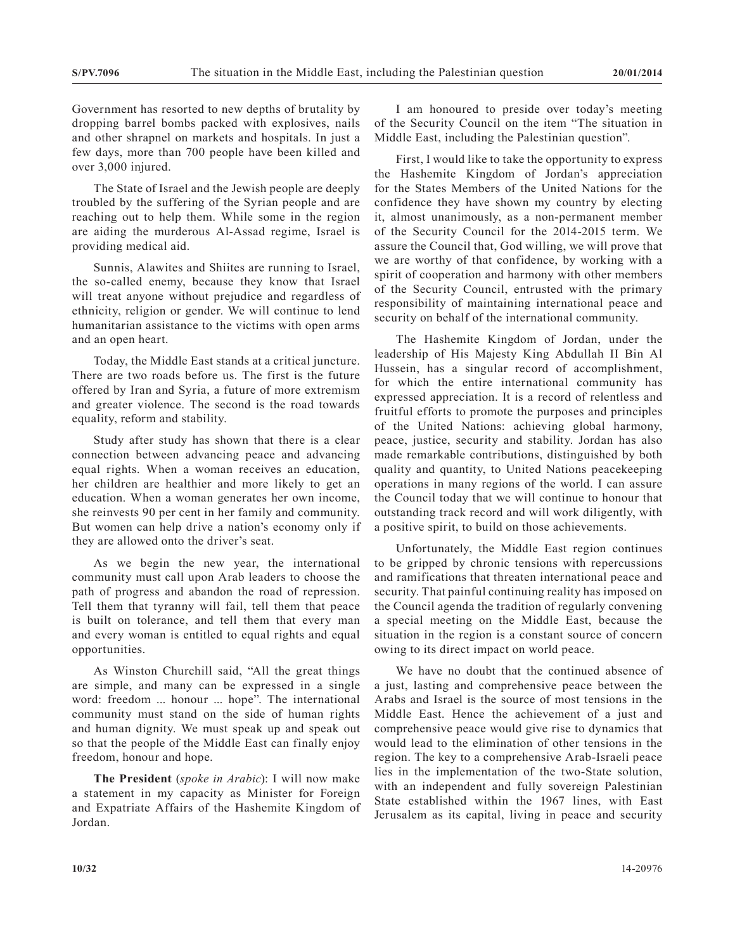Government has resorted to new depths of brutality by dropping barrel bombs packed with explosives, nails and other shrapnel on markets and hospitals. In just a few days, more than 700 people have been killed and over 3,000 injured.

The State of Israel and the Jewish people are deeply troubled by the suffering of the Syrian people and are reaching out to help them. While some in the region are aiding the murderous Al-Assad regime, Israel is providing medical aid.

Sunnis, Alawites and Shiites are running to Israel, the so-called enemy, because they know that Israel will treat anyone without prejudice and regardless of ethnicity, religion or gender. We will continue to lend humanitarian assistance to the victims with open arms and an open heart.

Today, the Middle East stands at a critical juncture. There are two roads before us. The first is the future offered by Iran and Syria, a future of more extremism and greater violence. The second is the road towards equality, reform and stability.

Study after study has shown that there is a clear connection between advancing peace and advancing equal rights. When a woman receives an education, her children are healthier and more likely to get an education. When a woman generates her own income, she reinvests 90 per cent in her family and community. But women can help drive a nation's economy only if they are allowed onto the driver's seat.

As we begin the new year, the international community must call upon Arab leaders to choose the path of progress and abandon the road of repression. Tell them that tyranny will fail, tell them that peace is built on tolerance, and tell them that every man and every woman is entitled to equal rights and equal opportunities.

As Winston Churchill said, "All the great things are simple, and many can be expressed in a single word: freedom ... honour ... hope". The international community must stand on the side of human rights and human dignity. We must speak up and speak out so that the people of the Middle East can finally enjoy freedom, honour and hope.

**The President** (*spoke in Arabic*): I will now make a statement in my capacity as Minister for Foreign and Expatriate Affairs of the Hashemite Kingdom of Jordan.

I am honoured to preside over today's meeting of the Security Council on the item "The situation in Middle East, including the Palestinian question".

First, I would like to take the opportunity to express the Hashemite Kingdom of Jordan's appreciation for the States Members of the United Nations for the confidence they have shown my country by electing it, almost unanimously, as a non-permanent member of the Security Council for the 2014-2015 term. We assure the Council that, God willing, we will prove that we are worthy of that confidence, by working with a spirit of cooperation and harmony with other members of the Security Council, entrusted with the primary responsibility of maintaining international peace and security on behalf of the international community.

The Hashemite Kingdom of Jordan, under the leadership of His Majesty King Abdullah II Bin Al Hussein, has a singular record of accomplishment, for which the entire international community has expressed appreciation. It is a record of relentless and fruitful efforts to promote the purposes and principles of the United Nations: achieving global harmony, peace, justice, security and stability. Jordan has also made remarkable contributions, distinguished by both quality and quantity, to United Nations peacekeeping operations in many regions of the world. I can assure the Council today that we will continue to honour that outstanding track record and will work diligently, with a positive spirit, to build on those achievements.

Unfortunately, the Middle East region continues to be gripped by chronic tensions with repercussions and ramifications that threaten international peace and security. That painful continuing reality has imposed on the Council agenda the tradition of regularly convening a special meeting on the Middle East, because the situation in the region is a constant source of concern owing to its direct impact on world peace.

We have no doubt that the continued absence of a just, lasting and comprehensive peace between the Arabs and Israel is the source of most tensions in the Middle East. Hence the achievement of a just and comprehensive peace would give rise to dynamics that would lead to the elimination of other tensions in the region. The key to a comprehensive Arab-Israeli peace lies in the implementation of the two-State solution, with an independent and fully sovereign Palestinian State established within the 1967 lines, with East Jerusalem as its capital, living in peace and security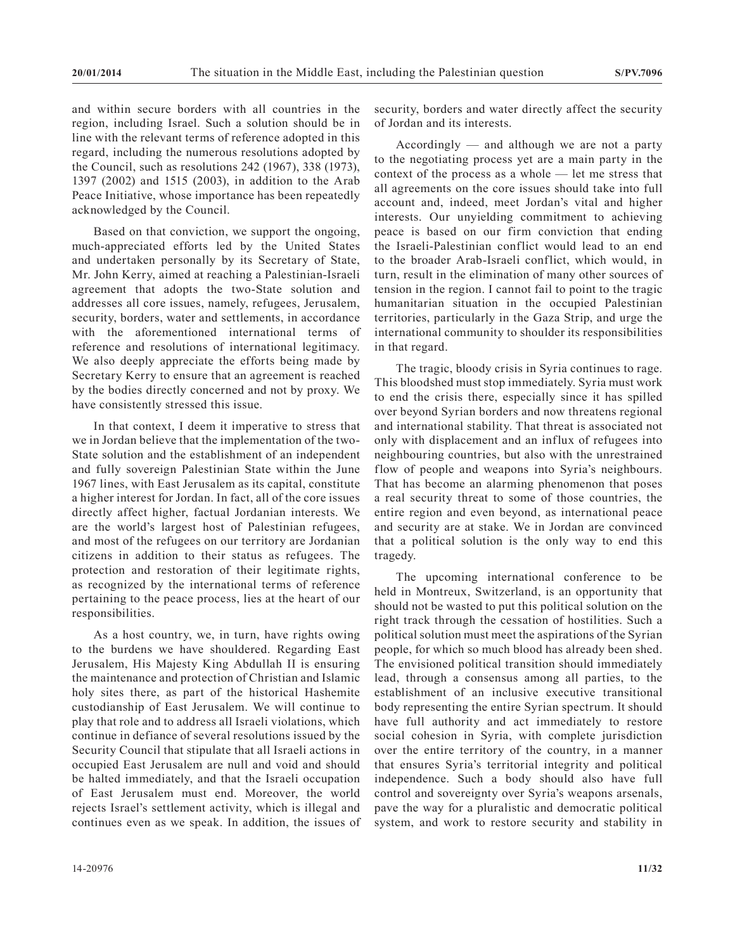and within secure borders with all countries in the region, including Israel. Such a solution should be in line with the relevant terms of reference adopted in this regard, including the numerous resolutions adopted by the Council, such as resolutions 242 (1967), 338 (1973), 1397 (2002) and 1515 (2003), in addition to the Arab Peace Initiative, whose importance has been repeatedly acknowledged by the Council.

Based on that conviction, we support the ongoing, much-appreciated efforts led by the United States and undertaken personally by its Secretary of State, Mr. John Kerry, aimed at reaching a Palestinian-Israeli agreement that adopts the two-State solution and addresses all core issues, namely, refugees, Jerusalem, security, borders, water and settlements, in accordance with the aforementioned international terms of reference and resolutions of international legitimacy. We also deeply appreciate the efforts being made by Secretary Kerry to ensure that an agreement is reached by the bodies directly concerned and not by proxy. We have consistently stressed this issue.

In that context, I deem it imperative to stress that we in Jordan believe that the implementation of the two-State solution and the establishment of an independent and fully sovereign Palestinian State within the June 1967 lines, with East Jerusalem as its capital, constitute a higher interest for Jordan. In fact, all of the core issues directly affect higher, factual Jordanian interests. We are the world's largest host of Palestinian refugees, and most of the refugees on our territory are Jordanian citizens in addition to their status as refugees. The protection and restoration of their legitimate rights, as recognized by the international terms of reference pertaining to the peace process, lies at the heart of our responsibilities.

As a host country, we, in turn, have rights owing to the burdens we have shouldered. Regarding East Jerusalem, His Majesty King Abdullah II is ensuring the maintenance and protection of Christian and Islamic holy sites there, as part of the historical Hashemite custodianship of East Jerusalem. We will continue to play that role and to address all Israeli violations, which continue in defiance of several resolutions issued by the Security Council that stipulate that all Israeli actions in occupied East Jerusalem are null and void and should be halted immediately, and that the Israeli occupation of East Jerusalem must end. Moreover, the world rejects Israel's settlement activity, which is illegal and continues even as we speak. In addition, the issues of security, borders and water directly affect the security of Jordan and its interests.

Accordingly — and although we are not a party to the negotiating process yet are a main party in the context of the process as a whole — let me stress that all agreements on the core issues should take into full account and, indeed, meet Jordan's vital and higher interests. Our unyielding commitment to achieving peace is based on our firm conviction that ending the Israeli-Palestinian conflict would lead to an end to the broader Arab-Israeli conflict, which would, in turn, result in the elimination of many other sources of tension in the region. I cannot fail to point to the tragic humanitarian situation in the occupied Palestinian territories, particularly in the Gaza Strip, and urge the international community to shoulder its responsibilities in that regard.

The tragic, bloody crisis in Syria continues to rage. This bloodshed must stop immediately. Syria must work to end the crisis there, especially since it has spilled over beyond Syrian borders and now threatens regional and international stability. That threat is associated not only with displacement and an influx of refugees into neighbouring countries, but also with the unrestrained flow of people and weapons into Syria's neighbours. That has become an alarming phenomenon that poses a real security threat to some of those countries, the entire region and even beyond, as international peace and security are at stake. We in Jordan are convinced that a political solution is the only way to end this tragedy.

The upcoming international conference to be held in Montreux, Switzerland, is an opportunity that should not be wasted to put this political solution on the right track through the cessation of hostilities. Such a political solution must meet the aspirations of the Syrian people, for which so much blood has already been shed. The envisioned political transition should immediately lead, through a consensus among all parties, to the establishment of an inclusive executive transitional body representing the entire Syrian spectrum. It should have full authority and act immediately to restore social cohesion in Syria, with complete jurisdiction over the entire territory of the country, in a manner that ensures Syria's territorial integrity and political independence. Such a body should also have full control and sovereignty over Syria's weapons arsenals, pave the way for a pluralistic and democratic political system, and work to restore security and stability in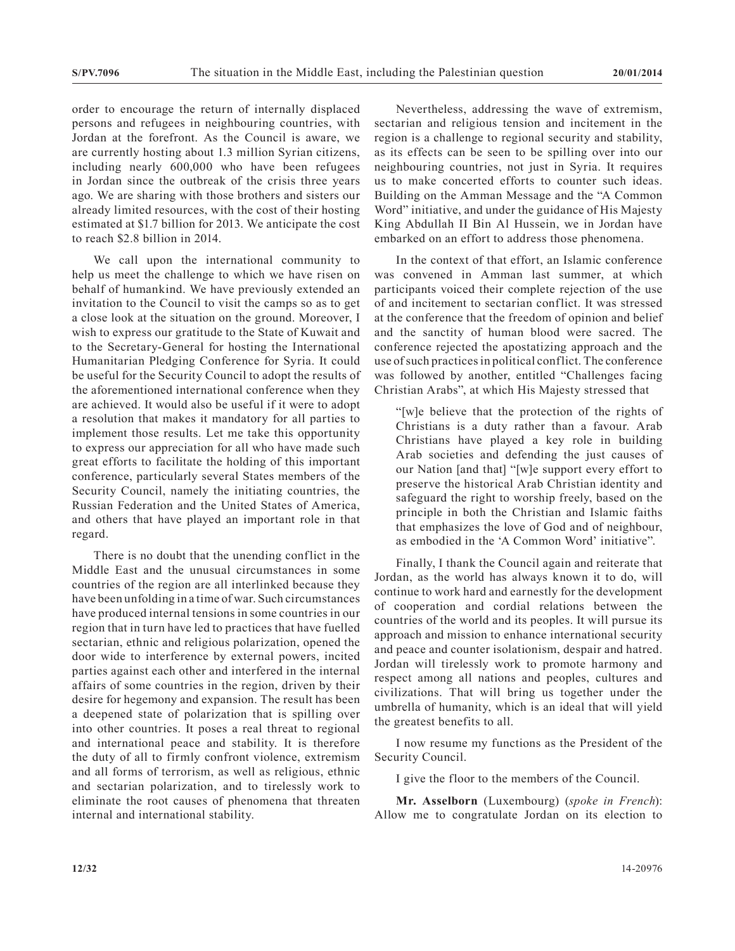order to encourage the return of internally displaced persons and refugees in neighbouring countries, with Jordan at the forefront. As the Council is aware, we are currently hosting about 1.3 million Syrian citizens, including nearly 600,000 who have been refugees in Jordan since the outbreak of the crisis three years ago. We are sharing with those brothers and sisters our already limited resources, with the cost of their hosting estimated at \$1.7 billion for 2013. We anticipate the cost to reach \$2.8 billion in 2014.

We call upon the international community to help us meet the challenge to which we have risen on behalf of humankind. We have previously extended an invitation to the Council to visit the camps so as to get a close look at the situation on the ground. Moreover, I wish to express our gratitude to the State of Kuwait and to the Secretary-General for hosting the International Humanitarian Pledging Conference for Syria. It could be useful for the Security Council to adopt the results of the aforementioned international conference when they are achieved. It would also be useful if it were to adopt a resolution that makes it mandatory for all parties to implement those results. Let me take this opportunity to express our appreciation for all who have made such great efforts to facilitate the holding of this important conference, particularly several States members of the Security Council, namely the initiating countries, the Russian Federation and the United States of America, and others that have played an important role in that regard.

There is no doubt that the unending conflict in the Middle East and the unusual circumstances in some countries of the region are all interlinked because they have been unfolding in a time of war. Such circumstances have produced internal tensions in some countries in our region that in turn have led to practices that have fuelled sectarian, ethnic and religious polarization, opened the door wide to interference by external powers, incited parties against each other and interfered in the internal affairs of some countries in the region, driven by their desire for hegemony and expansion. The result has been a deepened state of polarization that is spilling over into other countries. It poses a real threat to regional and international peace and stability. It is therefore the duty of all to firmly confront violence, extremism and all forms of terrorism, as well as religious, ethnic and sectarian polarization, and to tirelessly work to eliminate the root causes of phenomena that threaten internal and international stability.

Nevertheless, addressing the wave of extremism, sectarian and religious tension and incitement in the region is a challenge to regional security and stability, as its effects can be seen to be spilling over into our neighbouring countries, not just in Syria. It requires us to make concerted efforts to counter such ideas. Building on the Amman Message and the "A Common Word" initiative, and under the guidance of His Majesty King Abdullah II Bin Al Hussein, we in Jordan have embarked on an effort to address those phenomena.

In the context of that effort, an Islamic conference was convened in Amman last summer, at which participants voiced their complete rejection of the use of and incitement to sectarian conflict. It was stressed at the conference that the freedom of opinion and belief and the sanctity of human blood were sacred. The conference rejected the apostatizing approach and the use of such practices in political conflict. The conference was followed by another, entitled "Challenges facing Christian Arabs", at which His Majesty stressed that

"[w]e believe that the protection of the rights of Christians is a duty rather than a favour. Arab Christians have played a key role in building Arab societies and defending the just causes of our Nation [and that] "[w]e support every effort to preserve the historical Arab Christian identity and safeguard the right to worship freely, based on the principle in both the Christian and Islamic faiths that emphasizes the love of God and of neighbour, as embodied in the 'A Common Word' initiative".

Finally, I thank the Council again and reiterate that Jordan, as the world has always known it to do, will continue to work hard and earnestly for the development of cooperation and cordial relations between the countries of the world and its peoples. It will pursue its approach and mission to enhance international security and peace and counter isolationism, despair and hatred. Jordan will tirelessly work to promote harmony and respect among all nations and peoples, cultures and civilizations. That will bring us together under the umbrella of humanity, which is an ideal that will yield the greatest benefits to all.

I now resume my functions as the President of the Security Council.

I give the floor to the members of the Council.

**Mr. Asselborn** (Luxembourg) (*spoke in French*): Allow me to congratulate Jordan on its election to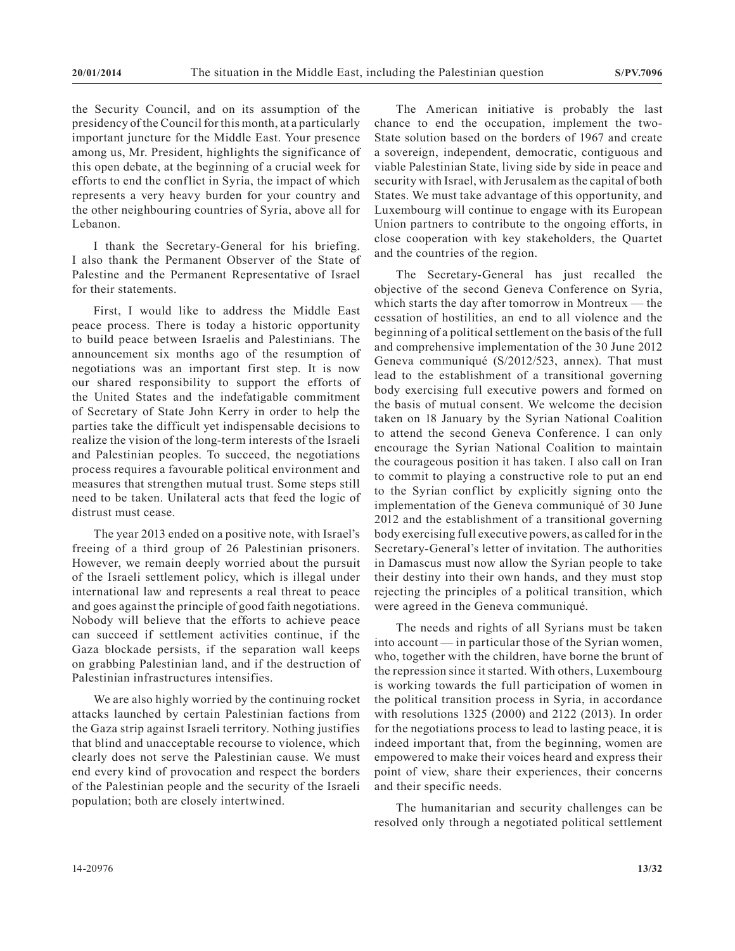the Security Council, and on its assumption of the presidency of the Council for this month, at a particularly important juncture for the Middle East. Your presence among us, Mr. President, highlights the significance of this open debate, at the beginning of a crucial week for efforts to end the conflict in Syria, the impact of which represents a very heavy burden for your country and the other neighbouring countries of Syria, above all for Lebanon.

I thank the Secretary-General for his briefing. I also thank the Permanent Observer of the State of Palestine and the Permanent Representative of Israel for their statements.

First, I would like to address the Middle East peace process. There is today a historic opportunity to build peace between Israelis and Palestinians. The announcement six months ago of the resumption of negotiations was an important first step. It is now our shared responsibility to support the efforts of the United States and the indefatigable commitment of Secretary of State John Kerry in order to help the parties take the difficult yet indispensable decisions to realize the vision of the long-term interests of the Israeli and Palestinian peoples. To succeed, the negotiations process requires a favourable political environment and measures that strengthen mutual trust. Some steps still need to be taken. Unilateral acts that feed the logic of distrust must cease.

The year 2013 ended on a positive note, with Israel's freeing of a third group of 26 Palestinian prisoners. However, we remain deeply worried about the pursuit of the Israeli settlement policy, which is illegal under international law and represents a real threat to peace and goes against the principle of good faith negotiations. Nobody will believe that the efforts to achieve peace can succeed if settlement activities continue, if the Gaza blockade persists, if the separation wall keeps on grabbing Palestinian land, and if the destruction of Palestinian infrastructures intensifies.

We are also highly worried by the continuing rocket attacks launched by certain Palestinian factions from the Gaza strip against Israeli territory. Nothing justifies that blind and unacceptable recourse to violence, which clearly does not serve the Palestinian cause. We must end every kind of provocation and respect the borders of the Palestinian people and the security of the Israeli population; both are closely intertwined.

The American initiative is probably the last chance to end the occupation, implement the two-State solution based on the borders of 1967 and create a sovereign, independent, democratic, contiguous and viable Palestinian State, living side by side in peace and security with Israel, with Jerusalem as the capital of both States. We must take advantage of this opportunity, and Luxembourg will continue to engage with its European Union partners to contribute to the ongoing efforts, in close cooperation with key stakeholders, the Quartet and the countries of the region.

The Secretary-General has just recalled the objective of the second Geneva Conference on Syria, which starts the day after tomorrow in Montreux — the cessation of hostilities, an end to all violence and the beginning of a political settlement on the basis of the full and comprehensive implementation of the 30 June 2012 Geneva communiqué (S/2012/523, annex). That must lead to the establishment of a transitional governing body exercising full executive powers and formed on the basis of mutual consent. We welcome the decision taken on 18 January by the Syrian National Coalition to attend the second Geneva Conference. I can only encourage the Syrian National Coalition to maintain the courageous position it has taken. I also call on Iran to commit to playing a constructive role to put an end to the Syrian conflict by explicitly signing onto the implementation of the Geneva communiqué of 30 June 2012 and the establishment of a transitional governing body exercising full executive powers, as called for in the Secretary-General's letter of invitation. The authorities in Damascus must now allow the Syrian people to take their destiny into their own hands, and they must stop rejecting the principles of a political transition, which were agreed in the Geneva communiqué.

The needs and rights of all Syrians must be taken into account — in particular those of the Syrian women, who, together with the children, have borne the brunt of the repression since it started. With others, Luxembourg is working towards the full participation of women in the political transition process in Syria, in accordance with resolutions 1325 (2000) and 2122 (2013). In order for the negotiations process to lead to lasting peace, it is indeed important that, from the beginning, women are empowered to make their voices heard and express their point of view, share their experiences, their concerns and their specific needs.

The humanitarian and security challenges can be resolved only through a negotiated political settlement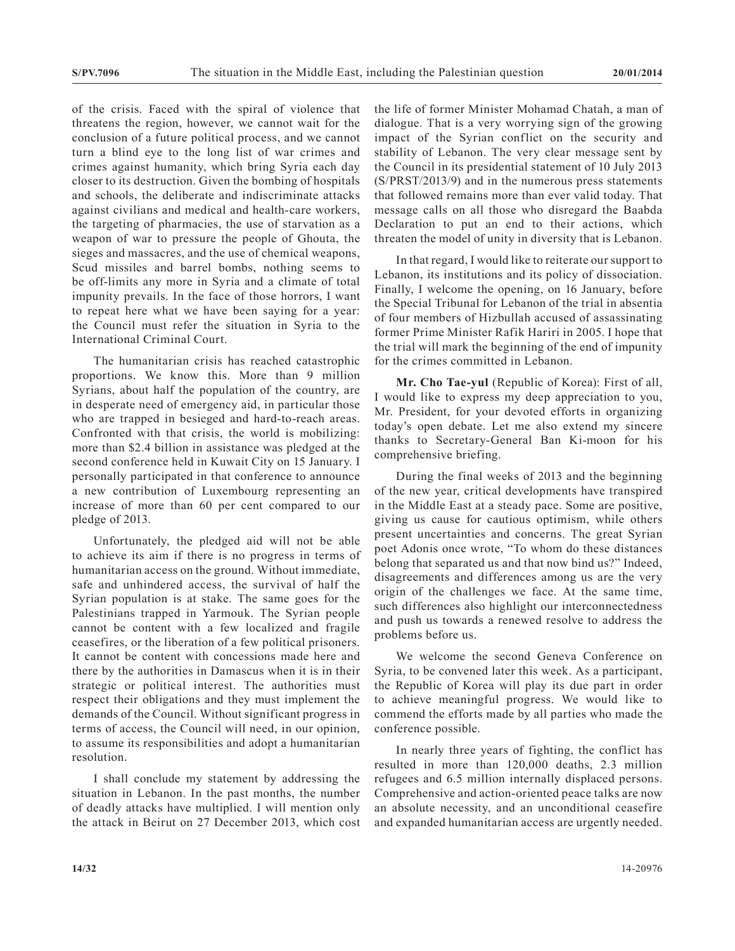of the crisis. Faced with the spiral of violence that threatens the region, however, we cannot wait for the conclusion of a future political process, and we cannot turn a blind eye to the long list of war crimes and crimes against humanity, which bring Syria each day closer to its destruction. Given the bombing of hospitals and schools, the deliberate and indiscriminate attacks against civilians and medical and health-care workers, the targeting of pharmacies, the use of starvation as a weapon of war to pressure the people of Ghouta, the sieges and massacres, and the use of chemical weapons, Scud missiles and barrel bombs, nothing seems to be off-limits any more in Syria and a climate of total impunity prevails. In the face of those horrors, I want to repeat here what we have been saying for a year: the Council must refer the situation in Syria to the International Criminal Court.

The humanitarian crisis has reached catastrophic proportions. We know this. More than 9 million Syrians, about half the population of the country, are in desperate need of emergency aid, in particular those who are trapped in besieged and hard-to-reach areas. Confronted with that crisis, the world is mobilizing: more than \$2.4 billion in assistance was pledged at the second conference held in Kuwait City on 15 January. I personally participated in that conference to announce a new contribution of Luxembourg representing an increase of more than 60 per cent compared to our pledge of 2013.

Unfortunately, the pledged aid will not be able to achieve its aim if there is no progress in terms of humanitarian access on the ground. Without immediate, safe and unhindered access, the survival of half the Syrian population is at stake. The same goes for the Palestinians trapped in Yarmouk. The Syrian people cannot be content with a few localized and fragile ceasefires, or the liberation of a few political prisoners. It cannot be content with concessions made here and there by the authorities in Damascus when it is in their strategic or political interest. The authorities must respect their obligations and they must implement the demands of the Council. Without significant progress in terms of access, the Council will need, in our opinion, to assume its responsibilities and adopt a humanitarian resolution.

I shall conclude my statement by addressing the situation in Lebanon. In the past months, the number of deadly attacks have multiplied. I will mention only the attack in Beirut on 27 December 2013, which cost the life of former Minister Mohamad Chatah, a man of dialogue. That is a very worrying sign of the growing impact of the Syrian conflict on the security and stability of Lebanon. The very clear message sent by the Council in its presidential statement of 10 July 2013 (S/PRST/2013/9) and in the numerous press statements that followed remains more than ever valid today. That message calls on all those who disregard the Baabda Declaration to put an end to their actions, which threaten the model of unity in diversity that is Lebanon.

In that regard, I would like to reiterate our support to Lebanon, its institutions and its policy of dissociation. Finally, I welcome the opening, on 16 January, before the Special Tribunal for Lebanon of the trial in absentia of four members of Hizbullah accused of assassinating former Prime Minister Rafik Hariri in 2005. I hope that the trial will mark the beginning of the end of impunity for the crimes committed in Lebanon.

**Mr. Cho Tae-yul** (Republic of Korea): First of all, I would like to express my deep appreciation to you, Mr. President, for your devoted efforts in organizing today's open debate. Let me also extend my sincere thanks to Secretary-General Ban Ki-moon for his comprehensive briefing.

During the final weeks of 2013 and the beginning of the new year, critical developments have transpired in the Middle East at a steady pace. Some are positive, giving us cause for cautious optimism, while others present uncertainties and concerns. The great Syrian poet Adonis once wrote, "To whom do these distances belong that separated us and that now bind us?" Indeed, disagreements and differences among us are the very origin of the challenges we face. At the same time, such differences also highlight our interconnectedness and push us towards a renewed resolve to address the problems before us.

We welcome the second Geneva Conference on Syria, to be convened later this week. As a participant, the Republic of Korea will play its due part in order to achieve meaningful progress. We would like to commend the efforts made by all parties who made the conference possible.

In nearly three years of fighting, the conflict has resulted in more than 120,000 deaths, 2.3 million refugees and 6.5 million internally displaced persons. Comprehensive and action-oriented peace talks are now an absolute necessity, and an unconditional ceasefire and expanded humanitarian access are urgently needed.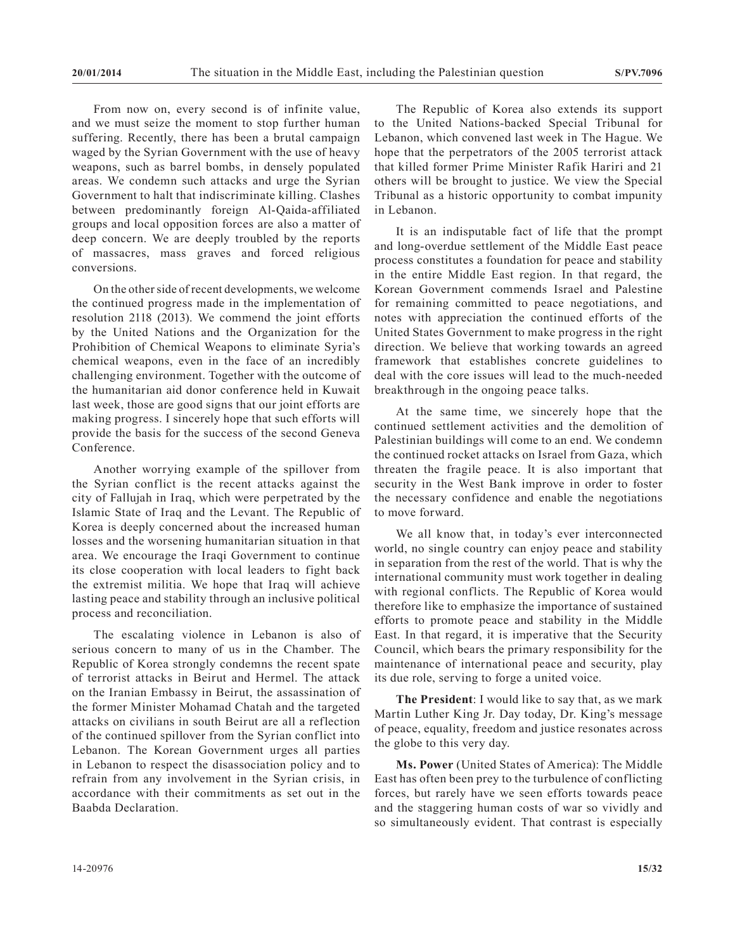From now on, every second is of infinite value, and we must seize the moment to stop further human suffering. Recently, there has been a brutal campaign waged by the Syrian Government with the use of heavy weapons, such as barrel bombs, in densely populated areas. We condemn such attacks and urge the Syrian Government to halt that indiscriminate killing. Clashes between predominantly foreign Al-Qaida-affiliated groups and local opposition forces are also a matter of deep concern. We are deeply troubled by the reports of massacres, mass graves and forced religious conversions.

On the other side of recent developments, we welcome the continued progress made in the implementation of resolution 2118 (2013). We commend the joint efforts by the United Nations and the Organization for the Prohibition of Chemical Weapons to eliminate Syria's chemical weapons, even in the face of an incredibly challenging environment. Together with the outcome of the humanitarian aid donor conference held in Kuwait last week, those are good signs that our joint efforts are making progress. I sincerely hope that such efforts will provide the basis for the success of the second Geneva Conference.

Another worrying example of the spillover from the Syrian conflict is the recent attacks against the city of Fallujah in Iraq, which were perpetrated by the Islamic State of Iraq and the Levant. The Republic of Korea is deeply concerned about the increased human losses and the worsening humanitarian situation in that area. We encourage the Iraqi Government to continue its close cooperation with local leaders to fight back the extremist militia. We hope that Iraq will achieve lasting peace and stability through an inclusive political process and reconciliation.

The escalating violence in Lebanon is also of serious concern to many of us in the Chamber. The Republic of Korea strongly condemns the recent spate of terrorist attacks in Beirut and Hermel. The attack on the Iranian Embassy in Beirut, the assassination of the former Minister Mohamad Chatah and the targeted attacks on civilians in south Beirut are all a reflection of the continued spillover from the Syrian conflict into Lebanon. The Korean Government urges all parties in Lebanon to respect the disassociation policy and to refrain from any involvement in the Syrian crisis, in accordance with their commitments as set out in the Baabda Declaration.

The Republic of Korea also extends its support to the United Nations-backed Special Tribunal for Lebanon, which convened last week in The Hague. We hope that the perpetrators of the 2005 terrorist attack that killed former Prime Minister Rafik Hariri and 21 others will be brought to justice. We view the Special Tribunal as a historic opportunity to combat impunity in Lebanon.

It is an indisputable fact of life that the prompt and long-overdue settlement of the Middle East peace process constitutes a foundation for peace and stability in the entire Middle East region. In that regard, the Korean Government commends Israel and Palestine for remaining committed to peace negotiations, and notes with appreciation the continued efforts of the United States Government to make progress in the right direction. We believe that working towards an agreed framework that establishes concrete guidelines to deal with the core issues will lead to the much-needed breakthrough in the ongoing peace talks.

At the same time, we sincerely hope that the continued settlement activities and the demolition of Palestinian buildings will come to an end. We condemn the continued rocket attacks on Israel from Gaza, which threaten the fragile peace. It is also important that security in the West Bank improve in order to foster the necessary confidence and enable the negotiations to move forward.

We all know that, in today's ever interconnected world, no single country can enjoy peace and stability in separation from the rest of the world. That is why the international community must work together in dealing with regional conflicts. The Republic of Korea would therefore like to emphasize the importance of sustained efforts to promote peace and stability in the Middle East. In that regard, it is imperative that the Security Council, which bears the primary responsibility for the maintenance of international peace and security, play its due role, serving to forge a united voice.

**The President**: I would like to say that, as we mark Martin Luther King Jr. Day today, Dr. King's message of peace, equality, freedom and justice resonates across the globe to this very day.

**Ms. Power** (United States of America): The Middle East has often been prey to the turbulence of conflicting forces, but rarely have we seen efforts towards peace and the staggering human costs of war so vividly and so simultaneously evident. That contrast is especially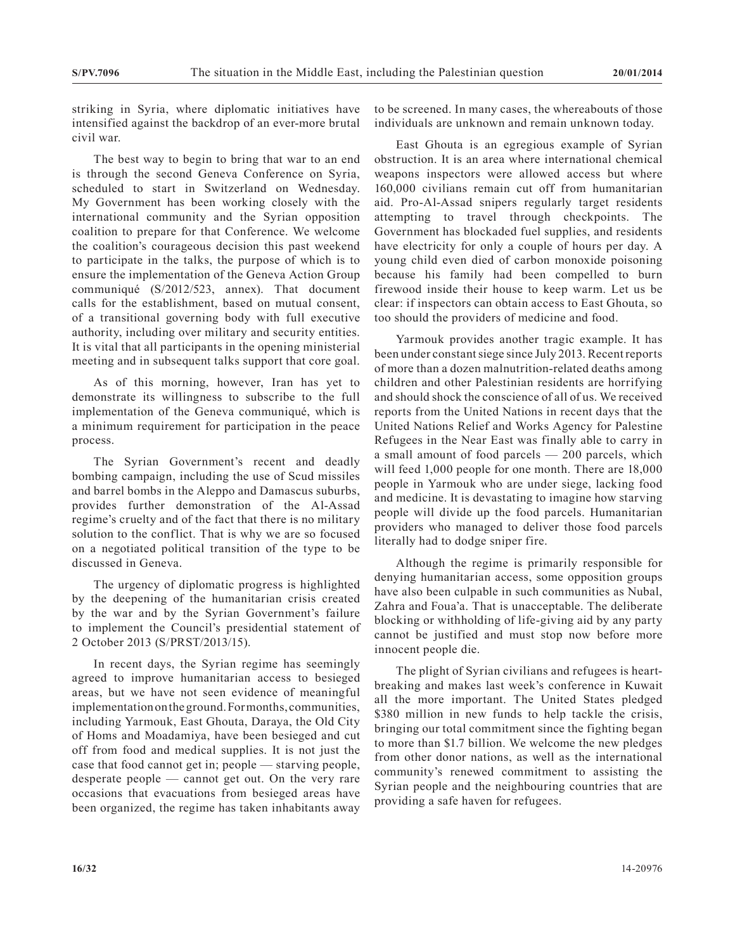striking in Syria, where diplomatic initiatives have intensified against the backdrop of an ever-more brutal civil war.

The best way to begin to bring that war to an end is through the second Geneva Conference on Syria, scheduled to start in Switzerland on Wednesday. My Government has been working closely with the international community and the Syrian opposition coalition to prepare for that Conference. We welcome the coalition's courageous decision this past weekend to participate in the talks, the purpose of which is to ensure the implementation of the Geneva Action Group communiqué (S/2012/523, annex). That document calls for the establishment, based on mutual consent, of a transitional governing body with full executive authority, including over military and security entities. It is vital that all participants in the opening ministerial meeting and in subsequent talks support that core goal.

As of this morning, however, Iran has yet to demonstrate its willingness to subscribe to the full implementation of the Geneva communiqué, which is a minimum requirement for participation in the peace process.

The Syrian Government's recent and deadly bombing campaign, including the use of Scud missiles and barrel bombs in the Aleppo and Damascus suburbs, provides further demonstration of the Al-Assad regime's cruelty and of the fact that there is no military solution to the conflict. That is why we are so focused on a negotiated political transition of the type to be discussed in Geneva.

The urgency of diplomatic progress is highlighted by the deepening of the humanitarian crisis created by the war and by the Syrian Government's failure to implement the Council's presidential statement of 2 October 2013 (S/PRST/2013/15).

In recent days, the Syrian regime has seemingly agreed to improve humanitarian access to besieged areas, but we have not seen evidence of meaningful implementation on the ground. For months, communities, including Yarmouk, East Ghouta, Daraya, the Old City of Homs and Moadamiya, have been besieged and cut off from food and medical supplies. It is not just the case that food cannot get in; people — starving people, desperate people — cannot get out. On the very rare occasions that evacuations from besieged areas have been organized, the regime has taken inhabitants away

to be screened. In many cases, the whereabouts of those individuals are unknown and remain unknown today.

East Ghouta is an egregious example of Syrian obstruction. It is an area where international chemical weapons inspectors were allowed access but where 160,000 civilians remain cut off from humanitarian aid. Pro-Al-Assad snipers regularly target residents attempting to travel through checkpoints. The Government has blockaded fuel supplies, and residents have electricity for only a couple of hours per day. A young child even died of carbon monoxide poisoning because his family had been compelled to burn firewood inside their house to keep warm. Let us be clear: if inspectors can obtain access to East Ghouta, so too should the providers of medicine and food.

Yarmouk provides another tragic example. It has been under constant siege since July 2013. Recent reports of more than a dozen malnutrition-related deaths among children and other Palestinian residents are horrifying and should shock the conscience of all of us. We received reports from the United Nations in recent days that the United Nations Relief and Works Agency for Palestine Refugees in the Near East was finally able to carry in a small amount of food parcels — 200 parcels, which will feed 1,000 people for one month. There are 18,000 people in Yarmouk who are under siege, lacking food and medicine. It is devastating to imagine how starving people will divide up the food parcels. Humanitarian providers who managed to deliver those food parcels literally had to dodge sniper fire.

Although the regime is primarily responsible for denying humanitarian access, some opposition groups have also been culpable in such communities as Nubal, Zahra and Foua'a. That is unacceptable. The deliberate blocking or withholding of life-giving aid by any party cannot be justified and must stop now before more innocent people die.

The plight of Syrian civilians and refugees is heartbreaking and makes last week's conference in Kuwait all the more important. The United States pledged \$380 million in new funds to help tackle the crisis, bringing our total commitment since the fighting began to more than \$1.7 billion. We welcome the new pledges from other donor nations, as well as the international community's renewed commitment to assisting the Syrian people and the neighbouring countries that are providing a safe haven for refugees.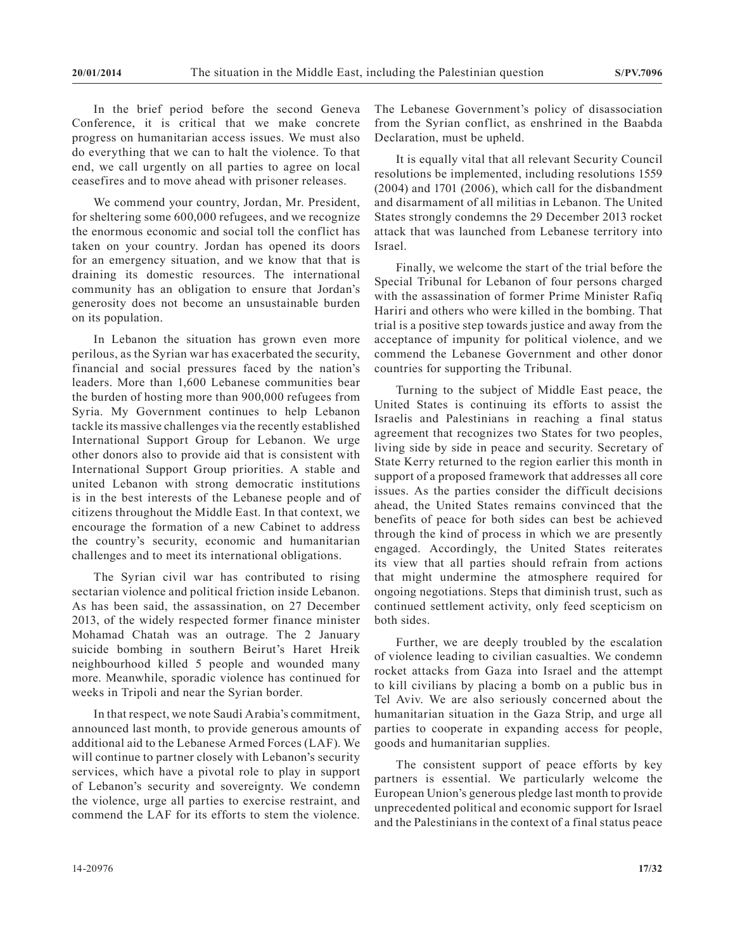In the brief period before the second Geneva Conference, it is critical that we make concrete progress on humanitarian access issues. We must also do everything that we can to halt the violence. To that end, we call urgently on all parties to agree on local ceasefires and to move ahead with prisoner releases.

We commend your country, Jordan, Mr. President, for sheltering some 600,000 refugees, and we recognize the enormous economic and social toll the conflict has taken on your country. Jordan has opened its doors for an emergency situation, and we know that that is draining its domestic resources. The international community has an obligation to ensure that Jordan's generosity does not become an unsustainable burden on its population.

In Lebanon the situation has grown even more perilous, as the Syrian war has exacerbated the security, financial and social pressures faced by the nation's leaders. More than 1,600 Lebanese communities bear the burden of hosting more than 900,000 refugees from Syria. My Government continues to help Lebanon tackle its massive challenges via the recently established International Support Group for Lebanon. We urge other donors also to provide aid that is consistent with International Support Group priorities. A stable and united Lebanon with strong democratic institutions is in the best interests of the Lebanese people and of citizens throughout the Middle East. In that context, we encourage the formation of a new Cabinet to address the country's security, economic and humanitarian challenges and to meet its international obligations.

The Syrian civil war has contributed to rising sectarian violence and political friction inside Lebanon. As has been said, the assassination, on 27 December 2013, of the widely respected former finance minister Mohamad Chatah was an outrage. The 2 January suicide bombing in southern Beirut's Haret Hreik neighbourhood killed 5 people and wounded many more. Meanwhile, sporadic violence has continued for weeks in Tripoli and near the Syrian border.

In that respect, we note Saudi Arabia's commitment, announced last month, to provide generous amounts of additional aid to the Lebanese Armed Forces (LAF). We will continue to partner closely with Lebanon's security services, which have a pivotal role to play in support of Lebanon's security and sovereignty. We condemn the violence, urge all parties to exercise restraint, and commend the LAF for its efforts to stem the violence.

The Lebanese Government's policy of disassociation from the Syrian conflict, as enshrined in the Baabda Declaration, must be upheld.

It is equally vital that all relevant Security Council resolutions be implemented, including resolutions 1559 (2004) and 1701 (2006), which call for the disbandment and disarmament of all militias in Lebanon. The United States strongly condemns the 29 December 2013 rocket attack that was launched from Lebanese territory into Israel.

Finally, we welcome the start of the trial before the Special Tribunal for Lebanon of four persons charged with the assassination of former Prime Minister Rafiq Hariri and others who were killed in the bombing. That trial is a positive step towards justice and away from the acceptance of impunity for political violence, and we commend the Lebanese Government and other donor countries for supporting the Tribunal.

Turning to the subject of Middle East peace, the United States is continuing its efforts to assist the Israelis and Palestinians in reaching a final status agreement that recognizes two States for two peoples, living side by side in peace and security. Secretary of State Kerry returned to the region earlier this month in support of a proposed framework that addresses all core issues. As the parties consider the difficult decisions ahead, the United States remains convinced that the benefits of peace for both sides can best be achieved through the kind of process in which we are presently engaged. Accordingly, the United States reiterates its view that all parties should refrain from actions that might undermine the atmosphere required for ongoing negotiations. Steps that diminish trust, such as continued settlement activity, only feed scepticism on both sides.

Further, we are deeply troubled by the escalation of violence leading to civilian casualties. We condemn rocket attacks from Gaza into Israel and the attempt to kill civilians by placing a bomb on a public bus in Tel Aviv. We are also seriously concerned about the humanitarian situation in the Gaza Strip, and urge all parties to cooperate in expanding access for people, goods and humanitarian supplies.

The consistent support of peace efforts by key partners is essential. We particularly welcome the European Union's generous pledge last month to provide unprecedented political and economic support for Israel and the Palestinians in the context of a final status peace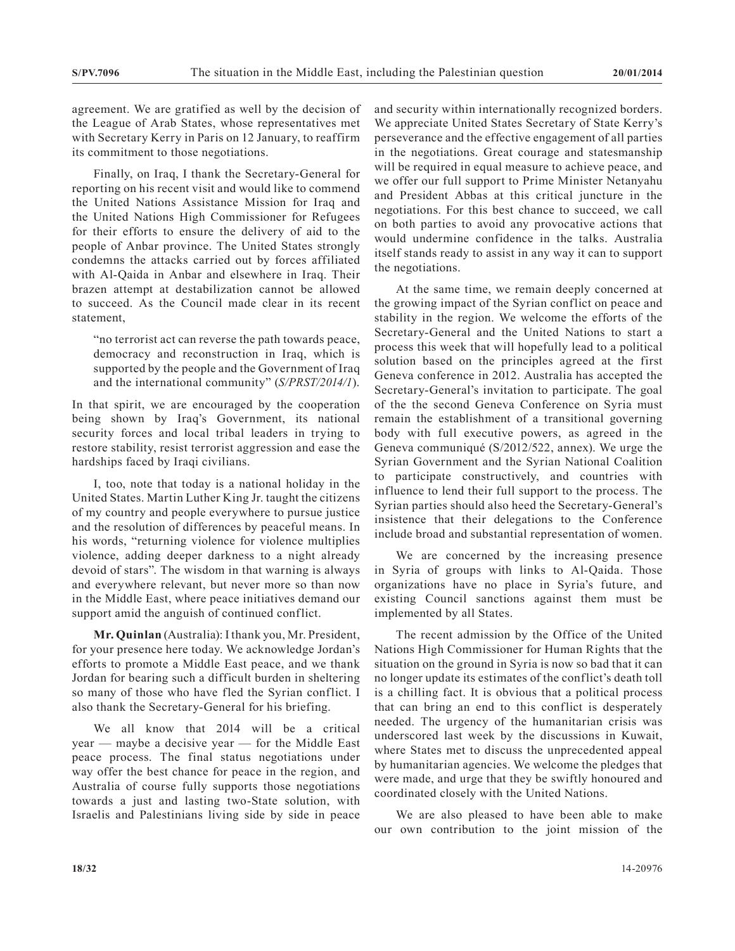agreement. We are gratified as well by the decision of the League of Arab States, whose representatives met with Secretary Kerry in Paris on 12 January, to reaffirm its commitment to those negotiations.

Finally, on Iraq, I thank the Secretary-General for reporting on his recent visit and would like to commend the United Nations Assistance Mission for Iraq and the United Nations High Commissioner for Refugees for their efforts to ensure the delivery of aid to the people of Anbar province. The United States strongly condemns the attacks carried out by forces affiliated with Al-Qaida in Anbar and elsewhere in Iraq. Their brazen attempt at destabilization cannot be allowed to succeed. As the Council made clear in its recent statement,

"no terrorist act can reverse the path towards peace, democracy and reconstruction in Iraq, which is supported by the people and the Government of Iraq and the international community" (*S/PRST/2014/1*).

In that spirit, we are encouraged by the cooperation being shown by Iraq's Government, its national security forces and local tribal leaders in trying to restore stability, resist terrorist aggression and ease the hardships faced by Iraqi civilians.

I, too, note that today is a national holiday in the United States. Martin Luther King Jr. taught the citizens of my country and people everywhere to pursue justice and the resolution of differences by peaceful means. In his words, "returning violence for violence multiplies violence, adding deeper darkness to a night already devoid of stars". The wisdom in that warning is always and everywhere relevant, but never more so than now in the Middle East, where peace initiatives demand our support amid the anguish of continued conflict.

**Mr. Quinlan** (Australia): I thank you, Mr. President, for your presence here today. We acknowledge Jordan's efforts to promote a Middle East peace, and we thank Jordan for bearing such a difficult burden in sheltering so many of those who have fled the Syrian conflict. I also thank the Secretary-General for his briefing.

We all know that 2014 will be a critical year — maybe a decisive year — for the Middle East peace process. The final status negotiations under way offer the best chance for peace in the region, and Australia of course fully supports those negotiations towards a just and lasting two-State solution, with Israelis and Palestinians living side by side in peace and security within internationally recognized borders. We appreciate United States Secretary of State Kerry's perseverance and the effective engagement of all parties in the negotiations. Great courage and statesmanship will be required in equal measure to achieve peace, and we offer our full support to Prime Minister Netanyahu and President Abbas at this critical juncture in the negotiations. For this best chance to succeed, we call on both parties to avoid any provocative actions that would undermine confidence in the talks. Australia itself stands ready to assist in any way it can to support the negotiations.

At the same time, we remain deeply concerned at the growing impact of the Syrian conflict on peace and stability in the region. We welcome the efforts of the Secretary-General and the United Nations to start a process this week that will hopefully lead to a political solution based on the principles agreed at the first Geneva conference in 2012. Australia has accepted the Secretary-General's invitation to participate. The goal of the the second Geneva Conference on Syria must remain the establishment of a transitional governing body with full executive powers, as agreed in the Geneva communiqué (S/2012/522, annex). We urge the Syrian Government and the Syrian National Coalition to participate constructively, and countries with influence to lend their full support to the process. The Syrian parties should also heed the Secretary-General's insistence that their delegations to the Conference include broad and substantial representation of women.

We are concerned by the increasing presence in Syria of groups with links to Al-Qaida. Those organizations have no place in Syria's future, and existing Council sanctions against them must be implemented by all States.

The recent admission by the Office of the United Nations High Commissioner for Human Rights that the situation on the ground in Syria is now so bad that it can no longer update its estimates of the conflict's death toll is a chilling fact. It is obvious that a political process that can bring an end to this conflict is desperately needed. The urgency of the humanitarian crisis was underscored last week by the discussions in Kuwait, where States met to discuss the unprecedented appeal by humanitarian agencies. We welcome the pledges that were made, and urge that they be swiftly honoured and coordinated closely with the United Nations.

We are also pleased to have been able to make our own contribution to the joint mission of the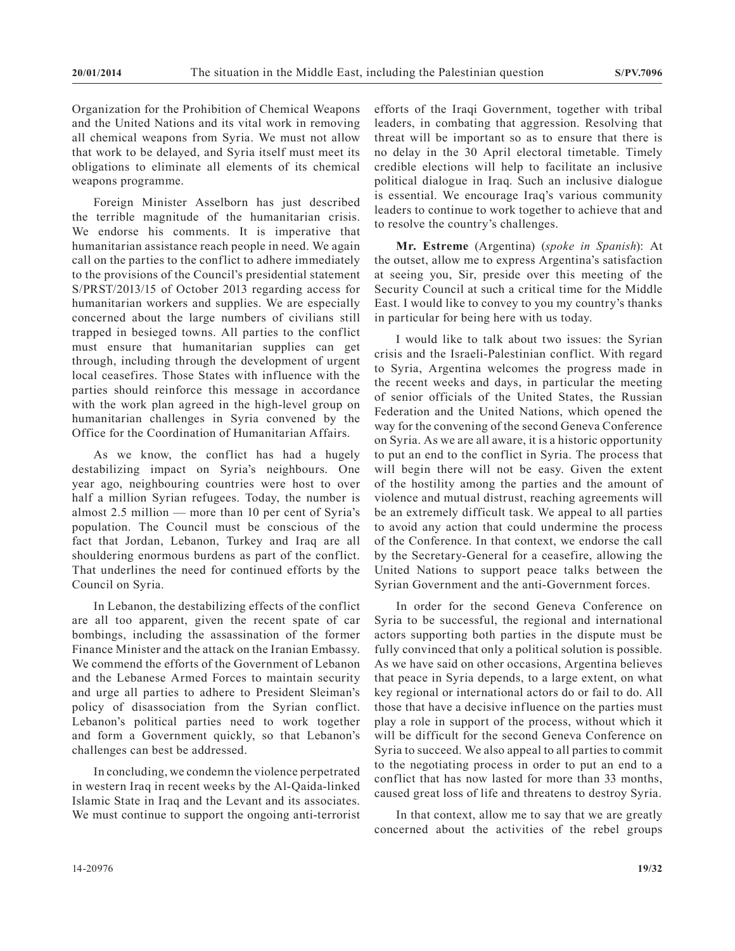Organization for the Prohibition of Chemical Weapons and the United Nations and its vital work in removing all chemical weapons from Syria. We must not allow that work to be delayed, and Syria itself must meet its obligations to eliminate all elements of its chemical weapons programme.

Foreign Minister Asselborn has just described the terrible magnitude of the humanitarian crisis. We endorse his comments. It is imperative that humanitarian assistance reach people in need. We again call on the parties to the conflict to adhere immediately to the provisions of the Council's presidential statement S/PRST/2013/15 of October 2013 regarding access for humanitarian workers and supplies. We are especially concerned about the large numbers of civilians still trapped in besieged towns. All parties to the conflict must ensure that humanitarian supplies can get through, including through the development of urgent local ceasefires. Those States with influence with the parties should reinforce this message in accordance with the work plan agreed in the high-level group on humanitarian challenges in Syria convened by the Office for the Coordination of Humanitarian Affairs.

As we know, the conflict has had a hugely destabilizing impact on Syria's neighbours. One year ago, neighbouring countries were host to over half a million Syrian refugees. Today, the number is almost 2.5 million — more than 10 per cent of Syria's population. The Council must be conscious of the fact that Jordan, Lebanon, Turkey and Iraq are all shouldering enormous burdens as part of the conflict. That underlines the need for continued efforts by the Council on Syria.

In Lebanon, the destabilizing effects of the conflict are all too apparent, given the recent spate of car bombings, including the assassination of the former Finance Minister and the attack on the Iranian Embassy. We commend the efforts of the Government of Lebanon and the Lebanese Armed Forces to maintain security and urge all parties to adhere to President Sleiman's policy of disassociation from the Syrian conflict. Lebanon's political parties need to work together and form a Government quickly, so that Lebanon's challenges can best be addressed.

In concluding, we condemn the violence perpetrated in western Iraq in recent weeks by the Al-Qaida-linked Islamic State in Iraq and the Levant and its associates. We must continue to support the ongoing anti-terrorist efforts of the Iraqi Government, together with tribal leaders, in combating that aggression. Resolving that threat will be important so as to ensure that there is no delay in the 30 April electoral timetable. Timely credible elections will help to facilitate an inclusive political dialogue in Iraq. Such an inclusive dialogue is essential. We encourage Iraq's various community leaders to continue to work together to achieve that and to resolve the country's challenges.

**Mr. Estreme** (Argentina) (*spoke in Spanish*): At the outset, allow me to express Argentina's satisfaction at seeing you, Sir, preside over this meeting of the Security Council at such a critical time for the Middle East. I would like to convey to you my country's thanks in particular for being here with us today.

I would like to talk about two issues: the Syrian crisis and the Israeli-Palestinian conflict. With regard to Syria, Argentina welcomes the progress made in the recent weeks and days, in particular the meeting of senior officials of the United States, the Russian Federation and the United Nations, which opened the way for the convening of the second Geneva Conference on Syria. As we are all aware, it is a historic opportunity to put an end to the conflict in Syria. The process that will begin there will not be easy. Given the extent of the hostility among the parties and the amount of violence and mutual distrust, reaching agreements will be an extremely difficult task. We appeal to all parties to avoid any action that could undermine the process of the Conference. In that context, we endorse the call by the Secretary-General for a ceasefire, allowing the United Nations to support peace talks between the Syrian Government and the anti-Government forces.

In order for the second Geneva Conference on Syria to be successful, the regional and international actors supporting both parties in the dispute must be fully convinced that only a political solution is possible. As we have said on other occasions, Argentina believes that peace in Syria depends, to a large extent, on what key regional or international actors do or fail to do. All those that have a decisive influence on the parties must play a role in support of the process, without which it will be difficult for the second Geneva Conference on Syria to succeed. We also appeal to all parties to commit to the negotiating process in order to put an end to a conflict that has now lasted for more than 33 months, caused great loss of life and threatens to destroy Syria.

In that context, allow me to say that we are greatly concerned about the activities of the rebel groups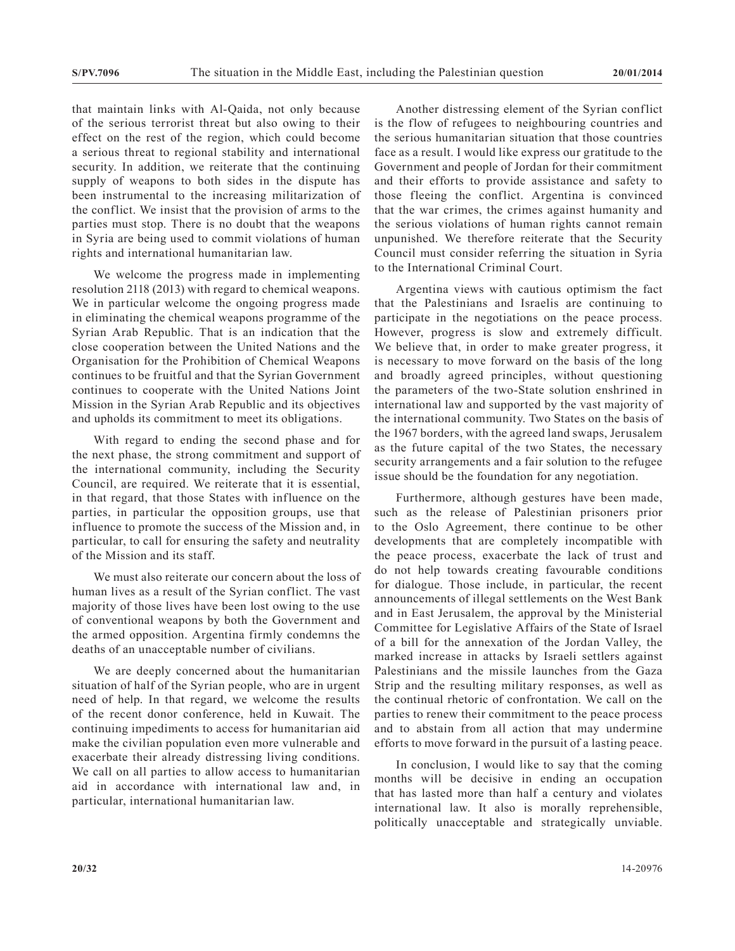that maintain links with Al-Qaida, not only because of the serious terrorist threat but also owing to their effect on the rest of the region, which could become a serious threat to regional stability and international security. In addition, we reiterate that the continuing supply of weapons to both sides in the dispute has been instrumental to the increasing militarization of the conflict. We insist that the provision of arms to the parties must stop. There is no doubt that the weapons in Syria are being used to commit violations of human rights and international humanitarian law.

We welcome the progress made in implementing resolution 2118 (2013) with regard to chemical weapons. We in particular welcome the ongoing progress made in eliminating the chemical weapons programme of the Syrian Arab Republic. That is an indication that the close cooperation between the United Nations and the Organisation for the Prohibition of Chemical Weapons continues to be fruitful and that the Syrian Government continues to cooperate with the United Nations Joint Mission in the Syrian Arab Republic and its objectives and upholds its commitment to meet its obligations.

With regard to ending the second phase and for the next phase, the strong commitment and support of the international community, including the Security Council, are required. We reiterate that it is essential, in that regard, that those States with influence on the parties, in particular the opposition groups, use that influence to promote the success of the Mission and, in particular, to call for ensuring the safety and neutrality of the Mission and its staff.

We must also reiterate our concern about the loss of human lives as a result of the Syrian conflict. The vast majority of those lives have been lost owing to the use of conventional weapons by both the Government and the armed opposition. Argentina firmly condemns the deaths of an unacceptable number of civilians.

We are deeply concerned about the humanitarian situation of half of the Syrian people, who are in urgent need of help. In that regard, we welcome the results of the recent donor conference, held in Kuwait. The continuing impediments to access for humanitarian aid make the civilian population even more vulnerable and exacerbate their already distressing living conditions. We call on all parties to allow access to humanitarian aid in accordance with international law and, in particular, international humanitarian law.

Another distressing element of the Syrian conflict is the flow of refugees to neighbouring countries and the serious humanitarian situation that those countries face as a result. I would like express our gratitude to the Government and people of Jordan for their commitment and their efforts to provide assistance and safety to those fleeing the conflict. Argentina is convinced that the war crimes, the crimes against humanity and the serious violations of human rights cannot remain unpunished. We therefore reiterate that the Security Council must consider referring the situation in Syria to the International Criminal Court.

Argentina views with cautious optimism the fact that the Palestinians and Israelis are continuing to participate in the negotiations on the peace process. However, progress is slow and extremely difficult. We believe that, in order to make greater progress, it is necessary to move forward on the basis of the long and broadly agreed principles, without questioning the parameters of the two-State solution enshrined in international law and supported by the vast majority of the international community. Two States on the basis of the 1967 borders, with the agreed land swaps, Jerusalem as the future capital of the two States, the necessary security arrangements and a fair solution to the refugee issue should be the foundation for any negotiation.

Furthermore, although gestures have been made, such as the release of Palestinian prisoners prior to the Oslo Agreement, there continue to be other developments that are completely incompatible with the peace process, exacerbate the lack of trust and do not help towards creating favourable conditions for dialogue. Those include, in particular, the recent announcements of illegal settlements on the West Bank and in East Jerusalem, the approval by the Ministerial Committee for Legislative Affairs of the State of Israel of a bill for the annexation of the Jordan Valley, the marked increase in attacks by Israeli settlers against Palestinians and the missile launches from the Gaza Strip and the resulting military responses, as well as the continual rhetoric of confrontation. We call on the parties to renew their commitment to the peace process and to abstain from all action that may undermine efforts to move forward in the pursuit of a lasting peace.

In conclusion, I would like to say that the coming months will be decisive in ending an occupation that has lasted more than half a century and violates international law. It also is morally reprehensible, politically unacceptable and strategically unviable.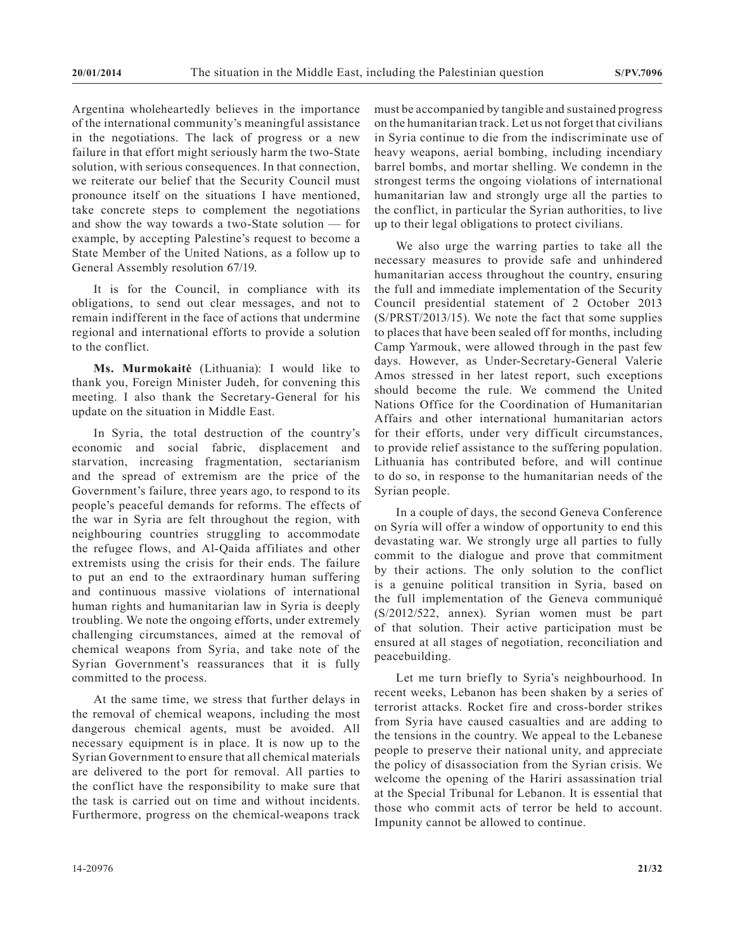Argentina wholeheartedly believes in the importance of the international community's meaningful assistance in the negotiations. The lack of progress or a new failure in that effort might seriously harm the two-State solution, with serious consequences. In that connection, we reiterate our belief that the Security Council must pronounce itself on the situations I have mentioned, take concrete steps to complement the negotiations and show the way towards a two-State solution — for example, by accepting Palestine's request to become a State Member of the United Nations, as a follow up to General Assembly resolution 67/19.

It is for the Council, in compliance with its obligations, to send out clear messages, and not to remain indifferent in the face of actions that undermine regional and international efforts to provide a solution to the conflict.

Ms. Murmokaitė (Lithuania): I would like to thank you, Foreign Minister Judeh, for convening this meeting. I also thank the Secretary-General for his update on the situation in Middle East.

In Syria, the total destruction of the country's economic and social fabric, displacement and starvation, increasing fragmentation, sectarianism and the spread of extremism are the price of the Government's failure, three years ago, to respond to its people's peaceful demands for reforms. The effects of the war in Syria are felt throughout the region, with neighbouring countries struggling to accommodate the refugee flows, and Al-Qaida affiliates and other extremists using the crisis for their ends. The failure to put an end to the extraordinary human suffering and continuous massive violations of international human rights and humanitarian law in Syria is deeply troubling. We note the ongoing efforts, under extremely challenging circumstances, aimed at the removal of chemical weapons from Syria, and take note of the Syrian Government's reassurances that it is fully committed to the process.

At the same time, we stress that further delays in the removal of chemical weapons, including the most dangerous chemical agents, must be avoided. All necessary equipment is in place. It is now up to the Syrian Government to ensure that all chemical materials are delivered to the port for removal. All parties to the conflict have the responsibility to make sure that the task is carried out on time and without incidents. Furthermore, progress on the chemical-weapons track

must be accompanied by tangible and sustained progress on the humanitarian track. Let us not forget that civilians in Syria continue to die from the indiscriminate use of heavy weapons, aerial bombing, including incendiary barrel bombs, and mortar shelling. We condemn in the strongest terms the ongoing violations of international humanitarian law and strongly urge all the parties to the conflict, in particular the Syrian authorities, to live up to their legal obligations to protect civilians.

We also urge the warring parties to take all the necessary measures to provide safe and unhindered humanitarian access throughout the country, ensuring the full and immediate implementation of the Security Council presidential statement of 2 October 2013 (S/PRST/2013/15). We note the fact that some supplies to places that have been sealed off for months, including Camp Yarmouk, were allowed through in the past few days. However, as Under-Secretary-General Valerie Amos stressed in her latest report, such exceptions should become the rule. We commend the United Nations Office for the Coordination of Humanitarian Affairs and other international humanitarian actors for their efforts, under very difficult circumstances, to provide relief assistance to the suffering population. Lithuania has contributed before, and will continue to do so, in response to the humanitarian needs of the Syrian people.

In a couple of days, the second Geneva Conference on Syria will offer a window of opportunity to end this devastating war. We strongly urge all parties to fully commit to the dialogue and prove that commitment by their actions. The only solution to the conflict is a genuine political transition in Syria, based on the full implementation of the Geneva communiqué (S/2012/522, annex). Syrian women must be part of that solution. Their active participation must be ensured at all stages of negotiation, reconciliation and peacebuilding.

Let me turn briefly to Syria's neighbourhood. In recent weeks, Lebanon has been shaken by a series of terrorist attacks. Rocket fire and cross-border strikes from Syria have caused casualties and are adding to the tensions in the country. We appeal to the Lebanese people to preserve their national unity, and appreciate the policy of disassociation from the Syrian crisis. We welcome the opening of the Hariri assassination trial at the Special Tribunal for Lebanon. It is essential that those who commit acts of terror be held to account. Impunity cannot be allowed to continue.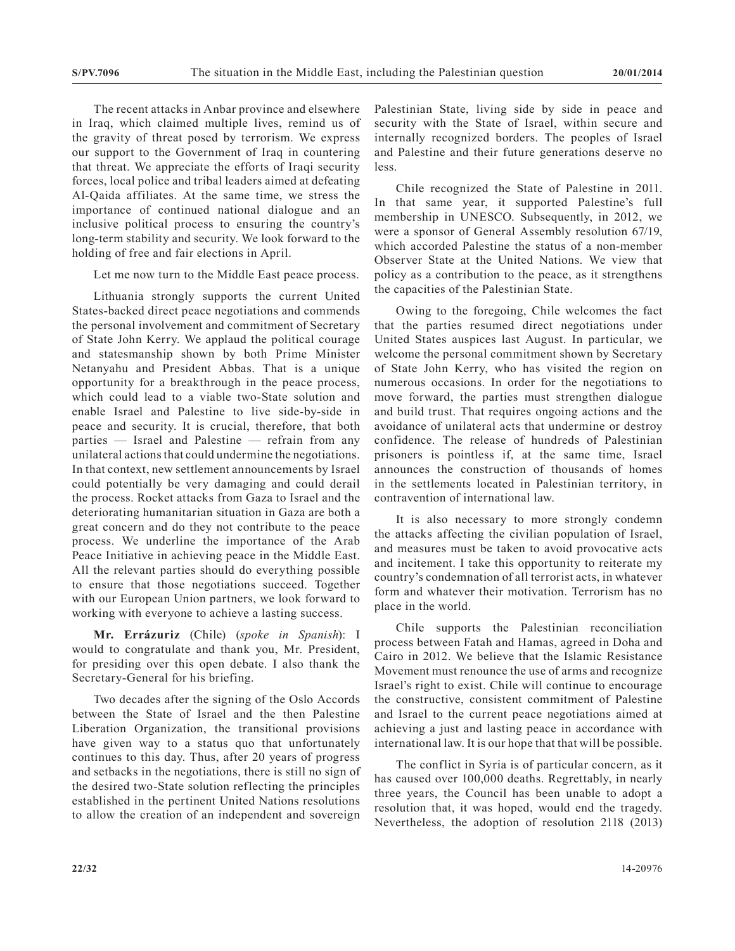The recent attacks in Anbar province and elsewhere in Iraq, which claimed multiple lives, remind us of the gravity of threat posed by terrorism. We express our support to the Government of Iraq in countering that threat. We appreciate the efforts of Iraqi security forces, local police and tribal leaders aimed at defeating Al-Qaida affiliates. At the same time, we stress the importance of continued national dialogue and an inclusive political process to ensuring the country's long-term stability and security. We look forward to the holding of free and fair elections in April.

Let me now turn to the Middle East peace process.

Lithuania strongly supports the current United States-backed direct peace negotiations and commends the personal involvement and commitment of Secretary of State John Kerry. We applaud the political courage and statesmanship shown by both Prime Minister Netanyahu and President Abbas. That is a unique opportunity for a breakthrough in the peace process, which could lead to a viable two-State solution and enable Israel and Palestine to live side-by-side in peace and security. It is crucial, therefore, that both parties — Israel and Palestine — refrain from any unilateral actions that could undermine the negotiations. In that context, new settlement announcements by Israel could potentially be very damaging and could derail the process. Rocket attacks from Gaza to Israel and the deteriorating humanitarian situation in Gaza are both a great concern and do they not contribute to the peace process. We underline the importance of the Arab Peace Initiative in achieving peace in the Middle East. All the relevant parties should do everything possible to ensure that those negotiations succeed. Together with our European Union partners, we look forward to working with everyone to achieve a lasting success.

**Mr. Errázuriz** (Chile) (*spoke in Spanish*): I would to congratulate and thank you, Mr. President, for presiding over this open debate. I also thank the Secretary-General for his briefing.

Two decades after the signing of the Oslo Accords between the State of Israel and the then Palestine Liberation Organization, the transitional provisions have given way to a status quo that unfortunately continues to this day. Thus, after 20 years of progress and setbacks in the negotiations, there is still no sign of the desired two-State solution reflecting the principles established in the pertinent United Nations resolutions to allow the creation of an independent and sovereign

Palestinian State, living side by side in peace and security with the State of Israel, within secure and internally recognized borders. The peoples of Israel and Palestine and their future generations deserve no less.

Chile recognized the State of Palestine in 2011. In that same year, it supported Palestine's full membership in UNESCO. Subsequently, in 2012, we were a sponsor of General Assembly resolution 67/19, which accorded Palestine the status of a non-member Observer State at the United Nations. We view that policy as a contribution to the peace, as it strengthens the capacities of the Palestinian State.

Owing to the foregoing, Chile welcomes the fact that the parties resumed direct negotiations under United States auspices last August. In particular, we welcome the personal commitment shown by Secretary of State John Kerry, who has visited the region on numerous occasions. In order for the negotiations to move forward, the parties must strengthen dialogue and build trust. That requires ongoing actions and the avoidance of unilateral acts that undermine or destroy confidence. The release of hundreds of Palestinian prisoners is pointless if, at the same time, Israel announces the construction of thousands of homes in the settlements located in Palestinian territory, in contravention of international law.

It is also necessary to more strongly condemn the attacks affecting the civilian population of Israel, and measures must be taken to avoid provocative acts and incitement. I take this opportunity to reiterate my country's condemnation of all terrorist acts, in whatever form and whatever their motivation. Terrorism has no place in the world.

Chile supports the Palestinian reconciliation process between Fatah and Hamas, agreed in Doha and Cairo in 2012. We believe that the Islamic Resistance Movement must renounce the use of arms and recognize Israel's right to exist. Chile will continue to encourage the constructive, consistent commitment of Palestine and Israel to the current peace negotiations aimed at achieving a just and lasting peace in accordance with international law. It is our hope that that will be possible.

The conflict in Syria is of particular concern, as it has caused over 100,000 deaths. Regrettably, in nearly three years, the Council has been unable to adopt a resolution that, it was hoped, would end the tragedy. Nevertheless, the adoption of resolution 2118 (2013)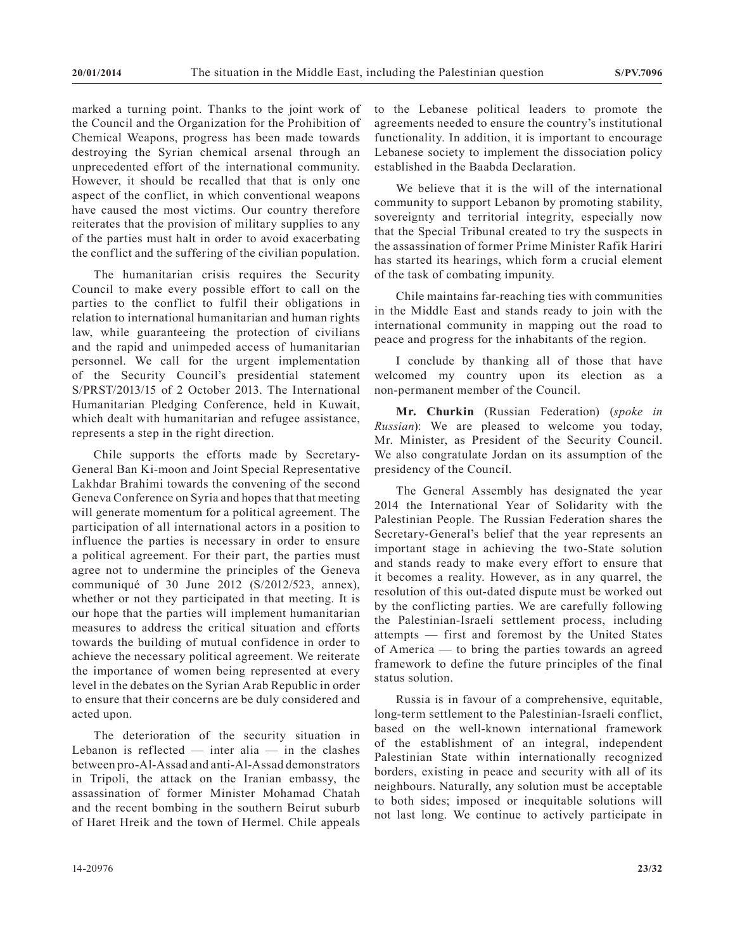marked a turning point. Thanks to the joint work of the Council and the Organization for the Prohibition of Chemical Weapons, progress has been made towards destroying the Syrian chemical arsenal through an unprecedented effort of the international community. However, it should be recalled that that is only one aspect of the conflict, in which conventional weapons have caused the most victims. Our country therefore reiterates that the provision of military supplies to any of the parties must halt in order to avoid exacerbating the conflict and the suffering of the civilian population.

The humanitarian crisis requires the Security Council to make every possible effort to call on the parties to the conflict to fulfil their obligations in relation to international humanitarian and human rights law, while guaranteeing the protection of civilians and the rapid and unimpeded access of humanitarian personnel. We call for the urgent implementation of the Security Council's presidential statement S/PRST/2013/15 of 2 October 2013. The International Humanitarian Pledging Conference, held in Kuwait, which dealt with humanitarian and refugee assistance, represents a step in the right direction.

Chile supports the efforts made by Secretary-General Ban Ki-moon and Joint Special Representative Lakhdar Brahimi towards the convening of the second Geneva Conference on Syria and hopes that that meeting will generate momentum for a political agreement. The participation of all international actors in a position to influence the parties is necessary in order to ensure a political agreement. For their part, the parties must agree not to undermine the principles of the Geneva communiqué of 30 June 2012 (S/2012/523, annex), whether or not they participated in that meeting. It is our hope that the parties will implement humanitarian measures to address the critical situation and efforts towards the building of mutual confidence in order to achieve the necessary political agreement. We reiterate the importance of women being represented at every level in the debates on the Syrian Arab Republic in order to ensure that their concerns are be duly considered and acted upon.

The deterioration of the security situation in Lebanon is reflected  $-$  inter alia  $-$  in the clashes between pro-Al-Assad and anti-Al-Assad demonstrators in Tripoli, the attack on the Iranian embassy, the assassination of former Minister Mohamad Chatah and the recent bombing in the southern Beirut suburb of Haret Hreik and the town of Hermel. Chile appeals

to the Lebanese political leaders to promote the agreements needed to ensure the country's institutional functionality. In addition, it is important to encourage Lebanese society to implement the dissociation policy established in the Baabda Declaration.

We believe that it is the will of the international community to support Lebanon by promoting stability, sovereignty and territorial integrity, especially now that the Special Tribunal created to try the suspects in the assassination of former Prime Minister Rafik Hariri has started its hearings, which form a crucial element of the task of combating impunity.

Chile maintains far-reaching ties with communities in the Middle East and stands ready to join with the international community in mapping out the road to peace and progress for the inhabitants of the region.

I conclude by thanking all of those that have welcomed my country upon its election as a non-permanent member of the Council.

**Mr. Churkin** (Russian Federation) (*spoke in Russian*): We are pleased to welcome you today, Mr. Minister, as President of the Security Council. We also congratulate Jordan on its assumption of the presidency of the Council.

The General Assembly has designated the year 2014 the International Year of Solidarity with the Palestinian People. The Russian Federation shares the Secretary-General's belief that the year represents an important stage in achieving the two-State solution and stands ready to make every effort to ensure that it becomes a reality. However, as in any quarrel, the resolution of this out-dated dispute must be worked out by the conflicting parties. We are carefully following the Palestinian-Israeli settlement process, including attempts — first and foremost by the United States of America — to bring the parties towards an agreed framework to define the future principles of the final status solution.

Russia is in favour of a comprehensive, equitable, long-term settlement to the Palestinian-Israeli conflict, based on the well-known international framework of the establishment of an integral, independent Palestinian State within internationally recognized borders, existing in peace and security with all of its neighbours. Naturally, any solution must be acceptable to both sides; imposed or inequitable solutions will not last long. We continue to actively participate in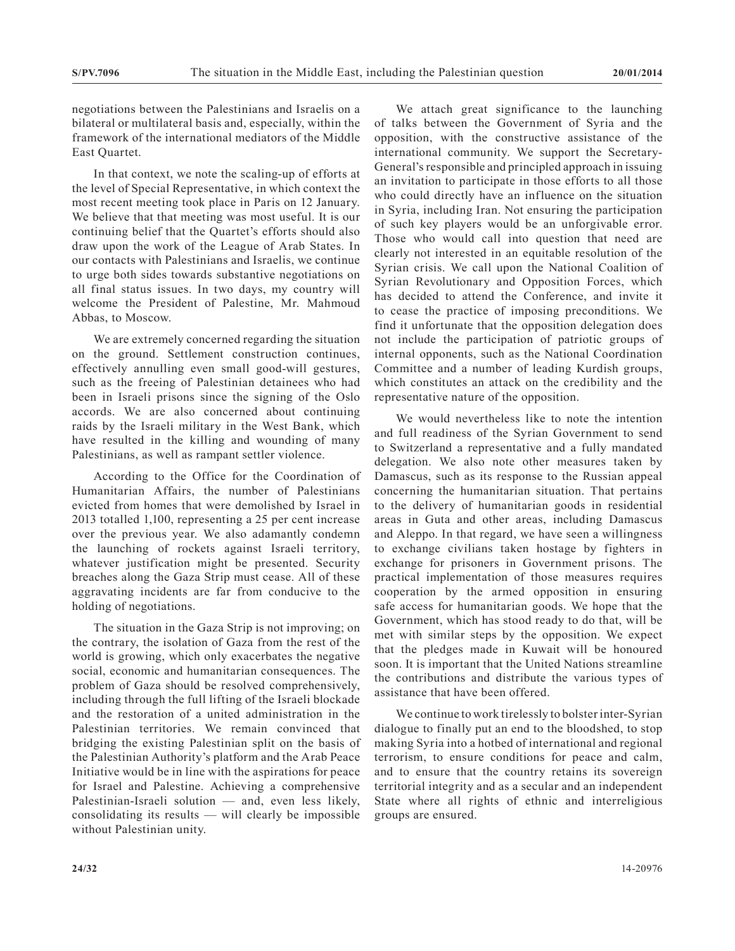negotiations between the Palestinians and Israelis on a bilateral or multilateral basis and, especially, within the framework of the international mediators of the Middle East Quartet.

In that context, we note the scaling-up of efforts at the level of Special Representative, in which context the most recent meeting took place in Paris on 12 January. We believe that that meeting was most useful. It is our continuing belief that the Quartet's efforts should also draw upon the work of the League of Arab States. In our contacts with Palestinians and Israelis, we continue to urge both sides towards substantive negotiations on all final status issues. In two days, my country will welcome the President of Palestine, Mr. Mahmoud Abbas, to Moscow.

We are extremely concerned regarding the situation on the ground. Settlement construction continues, effectively annulling even small good-will gestures, such as the freeing of Palestinian detainees who had been in Israeli prisons since the signing of the Oslo accords. We are also concerned about continuing raids by the Israeli military in the West Bank, which have resulted in the killing and wounding of many Palestinians, as well as rampant settler violence.

According to the Office for the Coordination of Humanitarian Affairs, the number of Palestinians evicted from homes that were demolished by Israel in 2013 totalled 1,100, representing a 25 per cent increase over the previous year. We also adamantly condemn the launching of rockets against Israeli territory, whatever justification might be presented. Security breaches along the Gaza Strip must cease. All of these aggravating incidents are far from conducive to the holding of negotiations.

The situation in the Gaza Strip is not improving; on the contrary, the isolation of Gaza from the rest of the world is growing, which only exacerbates the negative social, economic and humanitarian consequences. The problem of Gaza should be resolved comprehensively, including through the full lifting of the Israeli blockade and the restoration of a united administration in the Palestinian territories. We remain convinced that bridging the existing Palestinian split on the basis of the Palestinian Authority's platform and the Arab Peace Initiative would be in line with the aspirations for peace for Israel and Palestine. Achieving a comprehensive Palestinian-Israeli solution — and, even less likely, consolidating its results — will clearly be impossible without Palestinian unity.

We attach great significance to the launching of talks between the Government of Syria and the opposition, with the constructive assistance of the international community. We support the Secretary-General's responsible and principled approach in issuing an invitation to participate in those efforts to all those who could directly have an influence on the situation in Syria, including Iran. Not ensuring the participation of such key players would be an unforgivable error. Those who would call into question that need are clearly not interested in an equitable resolution of the Syrian crisis. We call upon the National Coalition of Syrian Revolutionary and Opposition Forces, which has decided to attend the Conference, and invite it to cease the practice of imposing preconditions. We find it unfortunate that the opposition delegation does not include the participation of patriotic groups of internal opponents, such as the National Coordination Committee and a number of leading Kurdish groups, which constitutes an attack on the credibility and the representative nature of the opposition.

We would nevertheless like to note the intention and full readiness of the Syrian Government to send to Switzerland a representative and a fully mandated delegation. We also note other measures taken by Damascus, such as its response to the Russian appeal concerning the humanitarian situation. That pertains to the delivery of humanitarian goods in residential areas in Guta and other areas, including Damascus and Aleppo. In that regard, we have seen a willingness to exchange civilians taken hostage by fighters in exchange for prisoners in Government prisons. The practical implementation of those measures requires cooperation by the armed opposition in ensuring safe access for humanitarian goods. We hope that the Government, which has stood ready to do that, will be met with similar steps by the opposition. We expect that the pledges made in Kuwait will be honoured soon. It is important that the United Nations streamline the contributions and distribute the various types of assistance that have been offered.

We continue to work tirelessly to bolster inter-Syrian dialogue to finally put an end to the bloodshed, to stop making Syria into a hotbed of international and regional terrorism, to ensure conditions for peace and calm, and to ensure that the country retains its sovereign territorial integrity and as a secular and an independent State where all rights of ethnic and interreligious groups are ensured.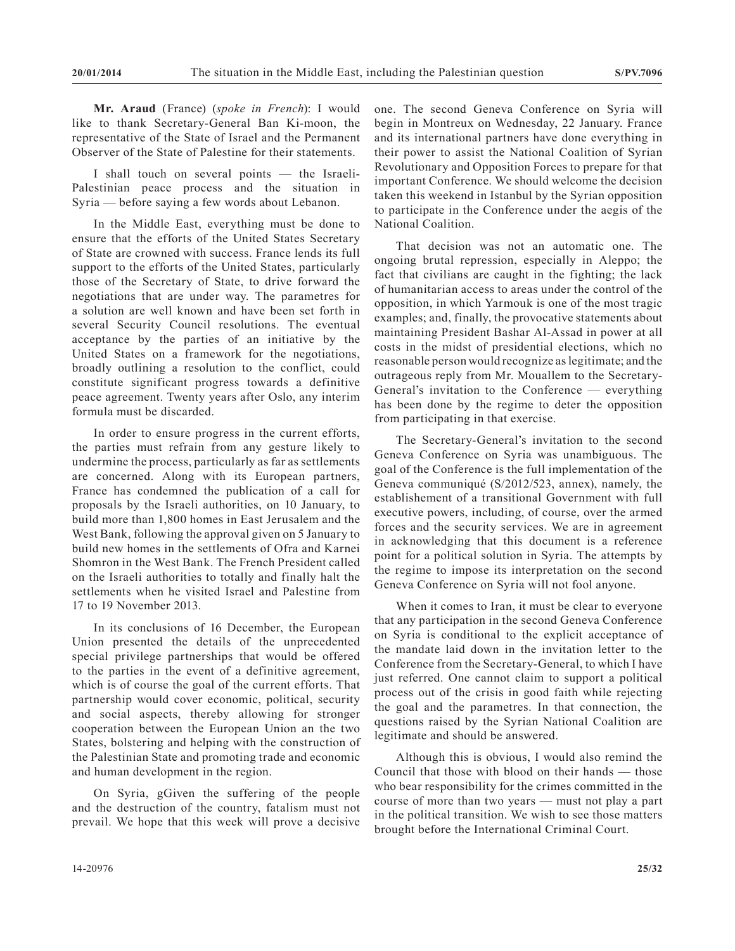**Mr. Araud** (France) (*spoke in French*): I would like to thank Secretary-General Ban Ki-moon, the representative of the State of Israel and the Permanent Observer of the State of Palestine for their statements.

I shall touch on several points — the Israeli-Palestinian peace process and the situation in Syria — before saying a few words about Lebanon.

In the Middle East, everything must be done to ensure that the efforts of the United States Secretary of State are crowned with success. France lends its full support to the efforts of the United States, particularly those of the Secretary of State, to drive forward the negotiations that are under way. The parametres for a solution are well known and have been set forth in several Security Council resolutions. The eventual acceptance by the parties of an initiative by the United States on a framework for the negotiations, broadly outlining a resolution to the conflict, could constitute significant progress towards a definitive peace agreement. Twenty years after Oslo, any interim formula must be discarded.

In order to ensure progress in the current efforts, the parties must refrain from any gesture likely to undermine the process, particularly as far as settlements are concerned. Along with its European partners, France has condemned the publication of a call for proposals by the Israeli authorities, on 10 January, to build more than 1,800 homes in East Jerusalem and the West Bank, following the approval given on 5 January to build new homes in the settlements of Ofra and Karnei Shomron in the West Bank. The French President called on the Israeli authorities to totally and finally halt the settlements when he visited Israel and Palestine from 17 to 19 November 2013.

In its conclusions of 16 December, the European Union presented the details of the unprecedented special privilege partnerships that would be offered to the parties in the event of a definitive agreement, which is of course the goal of the current efforts. That partnership would cover economic, political, security and social aspects, thereby allowing for stronger cooperation between the European Union an the two States, bolstering and helping with the construction of the Palestinian State and promoting trade and economic and human development in the region.

On Syria, gGiven the suffering of the people and the destruction of the country, fatalism must not prevail. We hope that this week will prove a decisive

one. The second Geneva Conference on Syria will begin in Montreux on Wednesday, 22 January. France and its international partners have done everything in their power to assist the National Coalition of Syrian Revolutionary and Opposition Forces to prepare for that important Conference. We should welcome the decision taken this weekend in Istanbul by the Syrian opposition to participate in the Conference under the aegis of the National Coalition.

That decision was not an automatic one. The ongoing brutal repression, especially in Aleppo; the fact that civilians are caught in the fighting; the lack of humanitarian access to areas under the control of the opposition, in which Yarmouk is one of the most tragic examples; and, finally, the provocative statements about maintaining President Bashar Al-Assad in power at all costs in the midst of presidential elections, which no reasonable person would recognize as legitimate; and the outrageous reply from Mr. Mouallem to the Secretary-General's invitation to the Conference — everything has been done by the regime to deter the opposition from participating in that exercise.

The Secretary-General's invitation to the second Geneva Conference on Syria was unambiguous. The goal of the Conference is the full implementation of the Geneva communiqué (S/2012/523, annex), namely, the establishement of a transitional Government with full executive powers, including, of course, over the armed forces and the security services. We are in agreement in acknowledging that this document is a reference point for a political solution in Syria. The attempts by the regime to impose its interpretation on the second Geneva Conference on Syria will not fool anyone.

When it comes to Iran, it must be clear to everyone that any participation in the second Geneva Conference on Syria is conditional to the explicit acceptance of the mandate laid down in the invitation letter to the Conference from the Secretary-General, to which I have just referred. One cannot claim to support a political process out of the crisis in good faith while rejecting the goal and the parametres. In that connection, the questions raised by the Syrian National Coalition are legitimate and should be answered.

Although this is obvious, I would also remind the Council that those with blood on their hands — those who bear responsibility for the crimes committed in the course of more than two years — must not play a part in the political transition. We wish to see those matters brought before the International Criminal Court.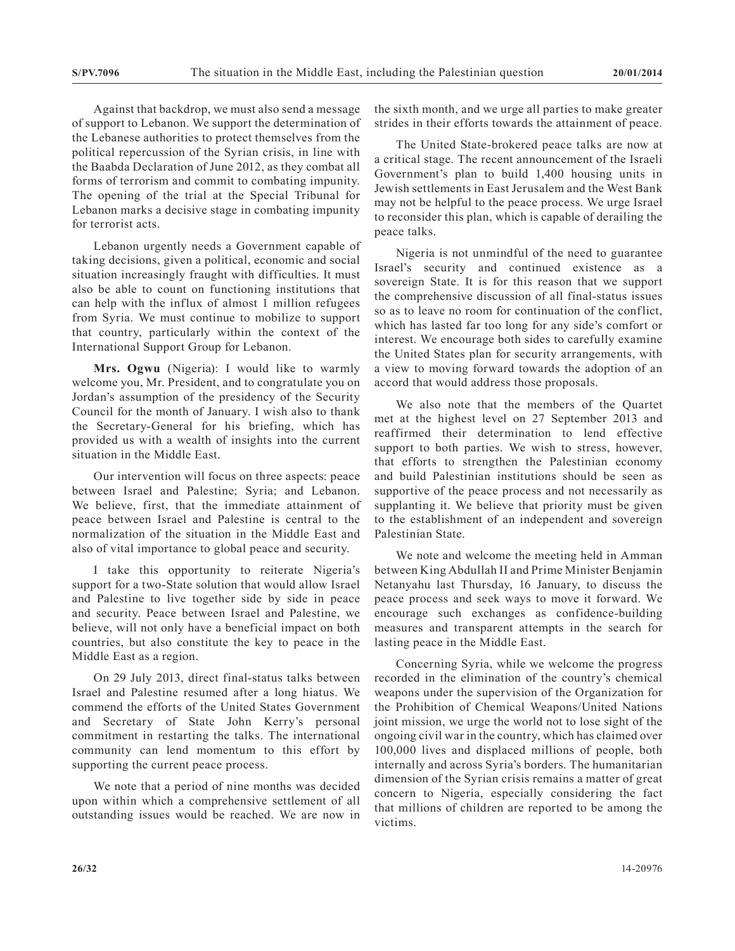Against that backdrop, we must also send a message of support to Lebanon. We support the determination of the Lebanese authorities to protect themselves from the political repercussion of the Syrian crisis, in line with the Baabda Declaration of June 2012, as they combat all forms of terrorism and commit to combating impunity. The opening of the trial at the Special Tribunal for Lebanon marks a decisive stage in combating impunity for terrorist acts.

Lebanon urgently needs a Government capable of taking decisions, given a political, economic and social situation increasingly fraught with difficulties. It must also be able to count on functioning institutions that can help with the influx of almost 1 million refugees from Syria. We must continue to mobilize to support that country, particularly within the context of the International Support Group for Lebanon.

**Mrs. Ogwu** (Nigeria): I would like to warmly welcome you, Mr. President, and to congratulate you on Jordan's assumption of the presidency of the Security Council for the month of January. I wish also to thank the Secretary-General for his briefing, which has provided us with a wealth of insights into the current situation in the Middle East.

Our intervention will focus on three aspects: peace between Israel and Palestine; Syria; and Lebanon. We believe, first, that the immediate attainment of peace between Israel and Palestine is central to the normalization of the situation in the Middle East and also of vital importance to global peace and security.

I take this opportunity to reiterate Nigeria's support for a two-State solution that would allow Israel and Palestine to live together side by side in peace and security. Peace between Israel and Palestine, we believe, will not only have a beneficial impact on both countries, but also constitute the key to peace in the Middle East as a region.

On 29 July 2013, direct final-status talks between Israel and Palestine resumed after a long hiatus. We commend the efforts of the United States Government and Secretary of State John Kerry's personal commitment in restarting the talks. The international community can lend momentum to this effort by supporting the current peace process.

We note that a period of nine months was decided upon within which a comprehensive settlement of all outstanding issues would be reached. We are now in the sixth month, and we urge all parties to make greater strides in their efforts towards the attainment of peace.

The United State-brokered peace talks are now at a critical stage. The recent announcement of the Israeli Government's plan to build 1,400 housing units in Jewish settlements in East Jerusalem and the West Bank may not be helpful to the peace process. We urge Israel to reconsider this plan, which is capable of derailing the peace talks.

Nigeria is not unmindful of the need to guarantee Israel's security and continued existence as a sovereign State. It is for this reason that we support the comprehensive discussion of all final-status issues so as to leave no room for continuation of the conflict, which has lasted far too long for any side's comfort or interest. We encourage both sides to carefully examine the United States plan for security arrangements, with a view to moving forward towards the adoption of an accord that would address those proposals.

We also note that the members of the Quartet met at the highest level on 27 September 2013 and reaffirmed their determination to lend effective support to both parties. We wish to stress, however, that efforts to strengthen the Palestinian economy and build Palestinian institutions should be seen as supportive of the peace process and not necessarily as supplanting it. We believe that priority must be given to the establishment of an independent and sovereign Palestinian State.

We note and welcome the meeting held in Amman between King Abdullah II and Prime Minister Benjamin Netanyahu last Thursday, 16 January, to discuss the peace process and seek ways to move it forward. We encourage such exchanges as confidence-building measures and transparent attempts in the search for lasting peace in the Middle East.

Concerning Syria, while we welcome the progress recorded in the elimination of the country's chemical weapons under the supervision of the Organization for the Prohibition of Chemical Weapons/United Nations joint mission, we urge the world not to lose sight of the ongoing civil war in the country, which has claimed over 100,000 lives and displaced millions of people, both internally and across Syria's borders. The humanitarian dimension of the Syrian crisis remains a matter of great concern to Nigeria, especially considering the fact that millions of children are reported to be among the victims.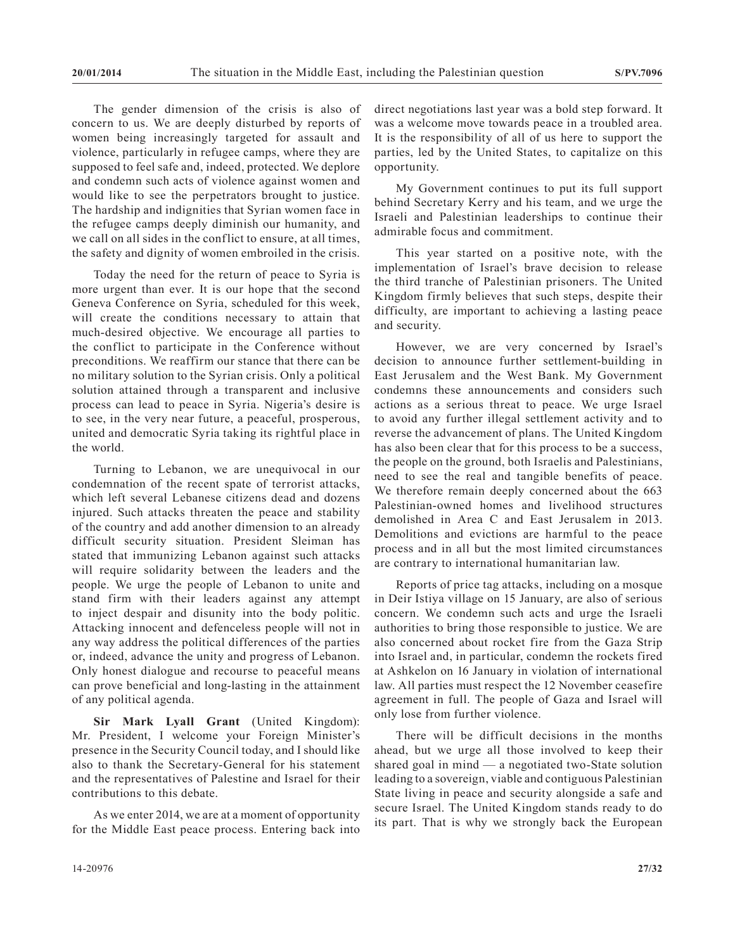The gender dimension of the crisis is also of concern to us. We are deeply disturbed by reports of women being increasingly targeted for assault and violence, particularly in refugee camps, where they are supposed to feel safe and, indeed, protected. We deplore and condemn such acts of violence against women and would like to see the perpetrators brought to justice. The hardship and indignities that Syrian women face in the refugee camps deeply diminish our humanity, and we call on all sides in the conflict to ensure, at all times, the safety and dignity of women embroiled in the crisis.

Today the need for the return of peace to Syria is more urgent than ever. It is our hope that the second Geneva Conference on Syria, scheduled for this week, will create the conditions necessary to attain that much-desired objective. We encourage all parties to the conflict to participate in the Conference without preconditions. We reaffirm our stance that there can be no military solution to the Syrian crisis. Only a political solution attained through a transparent and inclusive process can lead to peace in Syria. Nigeria's desire is to see, in the very near future, a peaceful, prosperous, united and democratic Syria taking its rightful place in the world.

Turning to Lebanon, we are unequivocal in our condemnation of the recent spate of terrorist attacks, which left several Lebanese citizens dead and dozens injured. Such attacks threaten the peace and stability of the country and add another dimension to an already difficult security situation. President Sleiman has stated that immunizing Lebanon against such attacks will require solidarity between the leaders and the people. We urge the people of Lebanon to unite and stand firm with their leaders against any attempt to inject despair and disunity into the body politic. Attacking innocent and defenceless people will not in any way address the political differences of the parties or, indeed, advance the unity and progress of Lebanon. Only honest dialogue and recourse to peaceful means can prove beneficial and long-lasting in the attainment of any political agenda.

**Sir Mark Lyall Grant** (United Kingdom): Mr. President, I welcome your Foreign Minister's presence in the Security Council today, and I should like also to thank the Secretary-General for his statement and the representatives of Palestine and Israel for their contributions to this debate.

As we enter 2014, we are at a moment of opportunity for the Middle East peace process. Entering back into direct negotiations last year was a bold step forward. It was a welcome move towards peace in a troubled area. It is the responsibility of all of us here to support the parties, led by the United States, to capitalize on this opportunity.

My Government continues to put its full support behind Secretary Kerry and his team, and we urge the Israeli and Palestinian leaderships to continue their admirable focus and commitment.

This year started on a positive note, with the implementation of Israel's brave decision to release the third tranche of Palestinian prisoners. The United Kingdom firmly believes that such steps, despite their difficulty, are important to achieving a lasting peace and security.

However, we are very concerned by Israel's decision to announce further settlement-building in East Jerusalem and the West Bank. My Government condemns these announcements and considers such actions as a serious threat to peace. We urge Israel to avoid any further illegal settlement activity and to reverse the advancement of plans. The United Kingdom has also been clear that for this process to be a success, the people on the ground, both Israelis and Palestinians, need to see the real and tangible benefits of peace. We therefore remain deeply concerned about the 663 Palestinian-owned homes and livelihood structures demolished in Area C and East Jerusalem in 2013. Demolitions and evictions are harmful to the peace process and in all but the most limited circumstances are contrary to international humanitarian law.

Reports of price tag attacks, including on a mosque in Deir Istiya village on 15 January, are also of serious concern. We condemn such acts and urge the Israeli authorities to bring those responsible to justice. We are also concerned about rocket fire from the Gaza Strip into Israel and, in particular, condemn the rockets fired at Ashkelon on 16 January in violation of international law. All parties must respect the 12 November ceasefire agreement in full. The people of Gaza and Israel will only lose from further violence.

There will be difficult decisions in the months ahead, but we urge all those involved to keep their shared goal in mind — a negotiated two-State solution leading to a sovereign, viable and contiguous Palestinian State living in peace and security alongside a safe and secure Israel. The United Kingdom stands ready to do its part. That is why we strongly back the European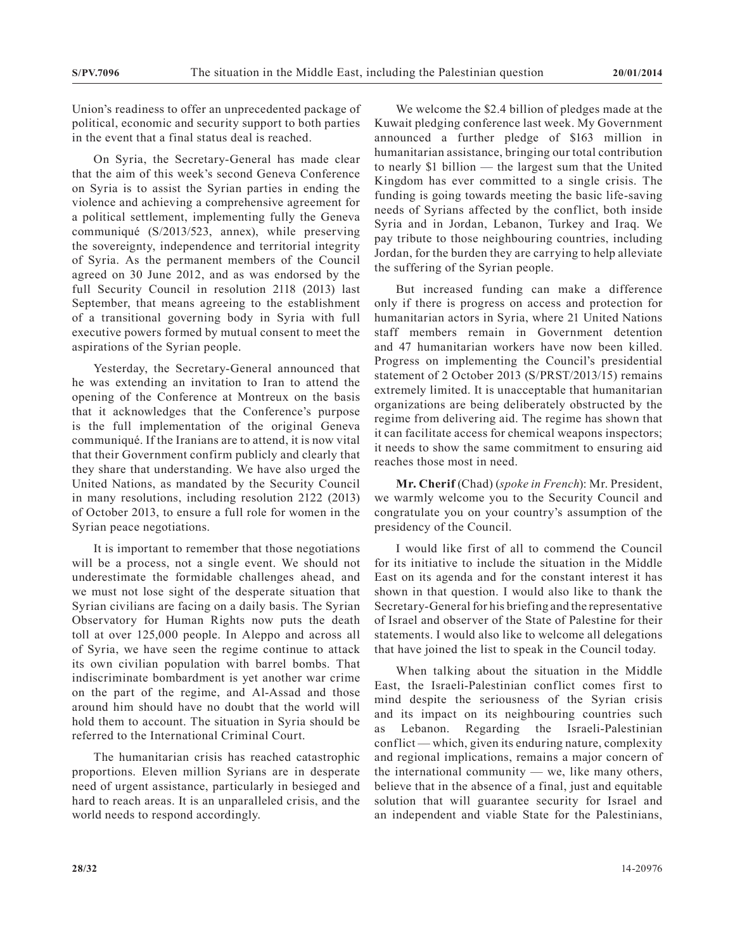Union's readiness to offer an unprecedented package of political, economic and security support to both parties in the event that a final status deal is reached.

On Syria, the Secretary-General has made clear that the aim of this week's second Geneva Conference on Syria is to assist the Syrian parties in ending the violence and achieving a comprehensive agreement for a political settlement, implementing fully the Geneva communiqué (S/2013/523, annex), while preserving the sovereignty, independence and territorial integrity of Syria. As the permanent members of the Council agreed on 30 June 2012, and as was endorsed by the full Security Council in resolution 2118 (2013) last September, that means agreeing to the establishment of a transitional governing body in Syria with full executive powers formed by mutual consent to meet the aspirations of the Syrian people.

Yesterday, the Secretary-General announced that he was extending an invitation to Iran to attend the opening of the Conference at Montreux on the basis that it acknowledges that the Conference's purpose is the full implementation of the original Geneva communiqué. If the Iranians are to attend, it is now vital that their Government confirm publicly and clearly that they share that understanding. We have also urged the United Nations, as mandated by the Security Council in many resolutions, including resolution 2122 (2013) of October 2013, to ensure a full role for women in the Syrian peace negotiations.

It is important to remember that those negotiations will be a process, not a single event. We should not underestimate the formidable challenges ahead, and we must not lose sight of the desperate situation that Syrian civilians are facing on a daily basis. The Syrian Observatory for Human Rights now puts the death toll at over 125,000 people. In Aleppo and across all of Syria, we have seen the regime continue to attack its own civilian population with barrel bombs. That indiscriminate bombardment is yet another war crime on the part of the regime, and Al-Assad and those around him should have no doubt that the world will hold them to account. The situation in Syria should be referred to the International Criminal Court.

The humanitarian crisis has reached catastrophic proportions. Eleven million Syrians are in desperate need of urgent assistance, particularly in besieged and hard to reach areas. It is an unparalleled crisis, and the world needs to respond accordingly.

We welcome the \$2.4 billion of pledges made at the Kuwait pledging conference last week. My Government announced a further pledge of \$163 million in humanitarian assistance, bringing our total contribution to nearly \$1 billion — the largest sum that the United Kingdom has ever committed to a single crisis. The funding is going towards meeting the basic life-saving needs of Syrians affected by the conflict, both inside Syria and in Jordan, Lebanon, Turkey and Iraq. We pay tribute to those neighbouring countries, including Jordan, for the burden they are carrying to help alleviate the suffering of the Syrian people.

But increased funding can make a difference only if there is progress on access and protection for humanitarian actors in Syria, where 21 United Nations staff members remain in Government detention and 47 humanitarian workers have now been killed. Progress on implementing the Council's presidential statement of 2 October 2013 (S/PRST/2013/15) remains extremely limited. It is unacceptable that humanitarian organizations are being deliberately obstructed by the regime from delivering aid. The regime has shown that it can facilitate access for chemical weapons inspectors; it needs to show the same commitment to ensuring aid reaches those most in need.

**Mr. Cherif** (Chad) (*spoke in French*): Mr. President, we warmly welcome you to the Security Council and congratulate you on your country's assumption of the presidency of the Council.

I would like first of all to commend the Council for its initiative to include the situation in the Middle East on its agenda and for the constant interest it has shown in that question. I would also like to thank the Secretary-General for his briefing and the representative of Israel and observer of the State of Palestine for their statements. I would also like to welcome all delegations that have joined the list to speak in the Council today.

When talking about the situation in the Middle East, the Israeli-Palestinian conflict comes first to mind despite the seriousness of the Syrian crisis and its impact on its neighbouring countries such as Lebanon. Regarding the Israeli-Palestinian conflict — which, given its enduring nature, complexity and regional implications, remains a major concern of the international community — we, like many others, believe that in the absence of a final, just and equitable solution that will guarantee security for Israel and an independent and viable State for the Palestinians,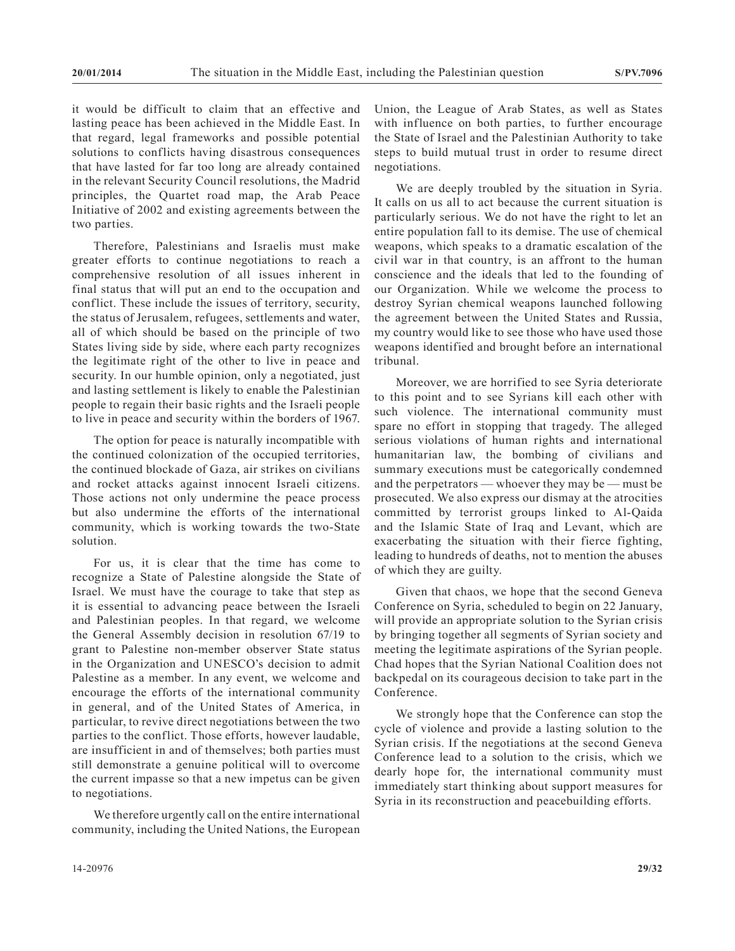it would be difficult to claim that an effective and lasting peace has been achieved in the Middle East. In that regard, legal frameworks and possible potential solutions to conflicts having disastrous consequences that have lasted for far too long are already contained in the relevant Security Council resolutions, the Madrid principles, the Quartet road map, the Arab Peace Initiative of 2002 and existing agreements between the two parties.

Therefore, Palestinians and Israelis must make greater efforts to continue negotiations to reach a comprehensive resolution of all issues inherent in final status that will put an end to the occupation and conflict. These include the issues of territory, security, the status of Jerusalem, refugees, settlements and water, all of which should be based on the principle of two States living side by side, where each party recognizes the legitimate right of the other to live in peace and security. In our humble opinion, only a negotiated, just and lasting settlement is likely to enable the Palestinian people to regain their basic rights and the Israeli people to live in peace and security within the borders of 1967.

The option for peace is naturally incompatible with the continued colonization of the occupied territories, the continued blockade of Gaza, air strikes on civilians and rocket attacks against innocent Israeli citizens. Those actions not only undermine the peace process but also undermine the efforts of the international community, which is working towards the two-State solution.

For us, it is clear that the time has come to recognize a State of Palestine alongside the State of Israel. We must have the courage to take that step as it is essential to advancing peace between the Israeli and Palestinian peoples. In that regard, we welcome the General Assembly decision in resolution 67/19 to grant to Palestine non-member observer State status in the Organization and UNESCO's decision to admit Palestine as a member. In any event, we welcome and encourage the efforts of the international community in general, and of the United States of America, in particular, to revive direct negotiations between the two parties to the conflict. Those efforts, however laudable, are insufficient in and of themselves; both parties must still demonstrate a genuine political will to overcome the current impasse so that a new impetus can be given to negotiations.

We therefore urgently call on the entire international community, including the United Nations, the European Union, the League of Arab States, as well as States with influence on both parties, to further encourage the State of Israel and the Palestinian Authority to take steps to build mutual trust in order to resume direct negotiations.

We are deeply troubled by the situation in Syria. It calls on us all to act because the current situation is particularly serious. We do not have the right to let an entire population fall to its demise. The use of chemical weapons, which speaks to a dramatic escalation of the civil war in that country, is an affront to the human conscience and the ideals that led to the founding of our Organization. While we welcome the process to destroy Syrian chemical weapons launched following the agreement between the United States and Russia, my country would like to see those who have used those weapons identified and brought before an international tribunal.

Moreover, we are horrified to see Syria deteriorate to this point and to see Syrians kill each other with such violence. The international community must spare no effort in stopping that tragedy. The alleged serious violations of human rights and international humanitarian law, the bombing of civilians and summary executions must be categorically condemned and the perpetrators — whoever they may be — must be prosecuted. We also express our dismay at the atrocities committed by terrorist groups linked to Al-Qaida and the Islamic State of Iraq and Levant, which are exacerbating the situation with their fierce fighting, leading to hundreds of deaths, not to mention the abuses of which they are guilty.

Given that chaos, we hope that the second Geneva Conference on Syria, scheduled to begin on 22 January, will provide an appropriate solution to the Syrian crisis by bringing together all segments of Syrian society and meeting the legitimate aspirations of the Syrian people. Chad hopes that the Syrian National Coalition does not backpedal on its courageous decision to take part in the Conference.

We strongly hope that the Conference can stop the cycle of violence and provide a lasting solution to the Syrian crisis. If the negotiations at the second Geneva Conference lead to a solution to the crisis, which we dearly hope for, the international community must immediately start thinking about support measures for Syria in its reconstruction and peacebuilding efforts.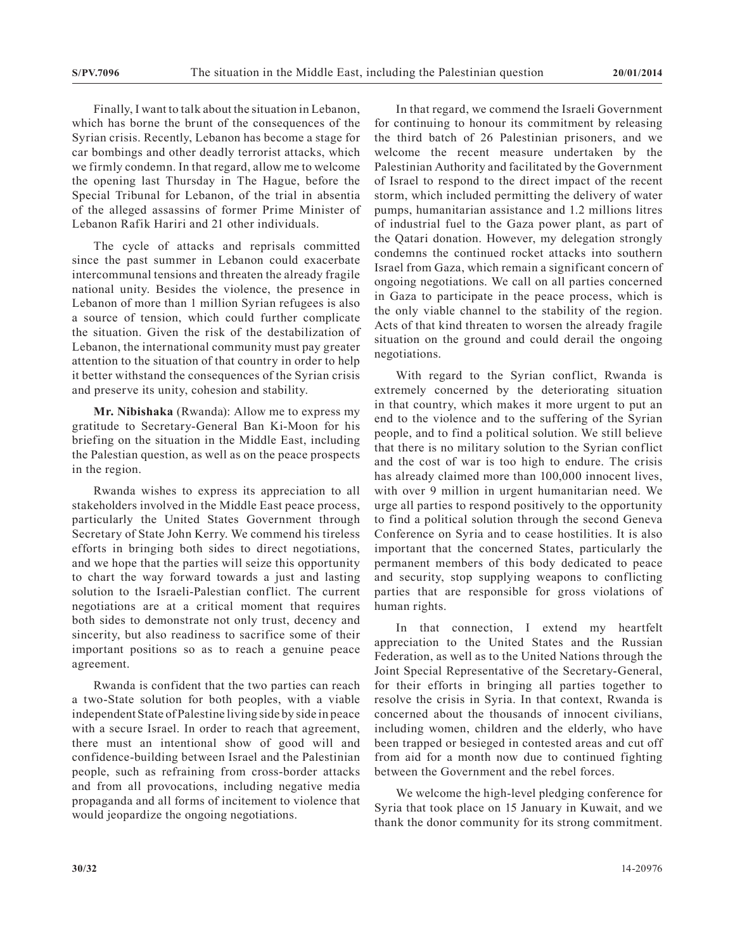Finally, I want to talk about the situation in Lebanon, which has borne the brunt of the consequences of the Syrian crisis. Recently, Lebanon has become a stage for car bombings and other deadly terrorist attacks, which we firmly condemn. In that regard, allow me to welcome the opening last Thursday in The Hague, before the Special Tribunal for Lebanon, of the trial in absentia of the alleged assassins of former Prime Minister of Lebanon Rafik Hariri and 21 other individuals.

The cycle of attacks and reprisals committed since the past summer in Lebanon could exacerbate intercommunal tensions and threaten the already fragile national unity. Besides the violence, the presence in Lebanon of more than 1 million Syrian refugees is also a source of tension, which could further complicate the situation. Given the risk of the destabilization of Lebanon, the international community must pay greater attention to the situation of that country in order to help it better withstand the consequences of the Syrian crisis and preserve its unity, cohesion and stability.

**Mr. Nibishaka** (Rwanda): Allow me to express my gratitude to Secretary-General Ban Ki-Moon for his briefing on the situation in the Middle East, including the Palestian question, as well as on the peace prospects in the region.

Rwanda wishes to express its appreciation to all stakeholders involved in the Middle East peace process, particularly the United States Government through Secretary of State John Kerry. We commend his tireless efforts in bringing both sides to direct negotiations, and we hope that the parties will seize this opportunity to chart the way forward towards a just and lasting solution to the Israeli-Palestian conflict. The current negotiations are at a critical moment that requires both sides to demonstrate not only trust, decency and sincerity, but also readiness to sacrifice some of their important positions so as to reach a genuine peace agreement.

Rwanda is confident that the two parties can reach a two-State solution for both peoples, with a viable independent State of Palestine living side by side in peace with a secure Israel. In order to reach that agreement, there must an intentional show of good will and confidence-building between Israel and the Palestinian people, such as refraining from cross-border attacks and from all provocations, including negative media propaganda and all forms of incitement to violence that would jeopardize the ongoing negotiations.

In that regard, we commend the Israeli Government for continuing to honour its commitment by releasing the third batch of 26 Palestinian prisoners, and we welcome the recent measure undertaken by the Palestinian Authority and facilitated by the Government of Israel to respond to the direct impact of the recent storm, which included permitting the delivery of water pumps, humanitarian assistance and 1.2 millions litres of industrial fuel to the Gaza power plant, as part of the Qatari donation. However, my delegation strongly condemns the continued rocket attacks into southern Israel from Gaza, which remain a significant concern of ongoing negotiations. We call on all parties concerned in Gaza to participate in the peace process, which is the only viable channel to the stability of the region. Acts of that kind threaten to worsen the already fragile situation on the ground and could derail the ongoing negotiations.

With regard to the Syrian conflict, Rwanda is extremely concerned by the deteriorating situation in that country, which makes it more urgent to put an end to the violence and to the suffering of the Syrian people, and to find a political solution. We still believe that there is no military solution to the Syrian conflict and the cost of war is too high to endure. The crisis has already claimed more than 100,000 innocent lives, with over 9 million in urgent humanitarian need. We urge all parties to respond positively to the opportunity to find a political solution through the second Geneva Conference on Syria and to cease hostilities. It is also important that the concerned States, particularly the permanent members of this body dedicated to peace and security, stop supplying weapons to conflicting parties that are responsible for gross violations of human rights.

In that connection, I extend my heartfelt appreciation to the United States and the Russian Federation, as well as to the United Nations through the Joint Special Representative of the Secretary-General, for their efforts in bringing all parties together to resolve the crisis in Syria. In that context, Rwanda is concerned about the thousands of innocent civilians, including women, children and the elderly, who have been trapped or besieged in contested areas and cut off from aid for a month now due to continued fighting between the Government and the rebel forces.

We welcome the high-level pledging conference for Syria that took place on 15 January in Kuwait, and we thank the donor community for its strong commitment.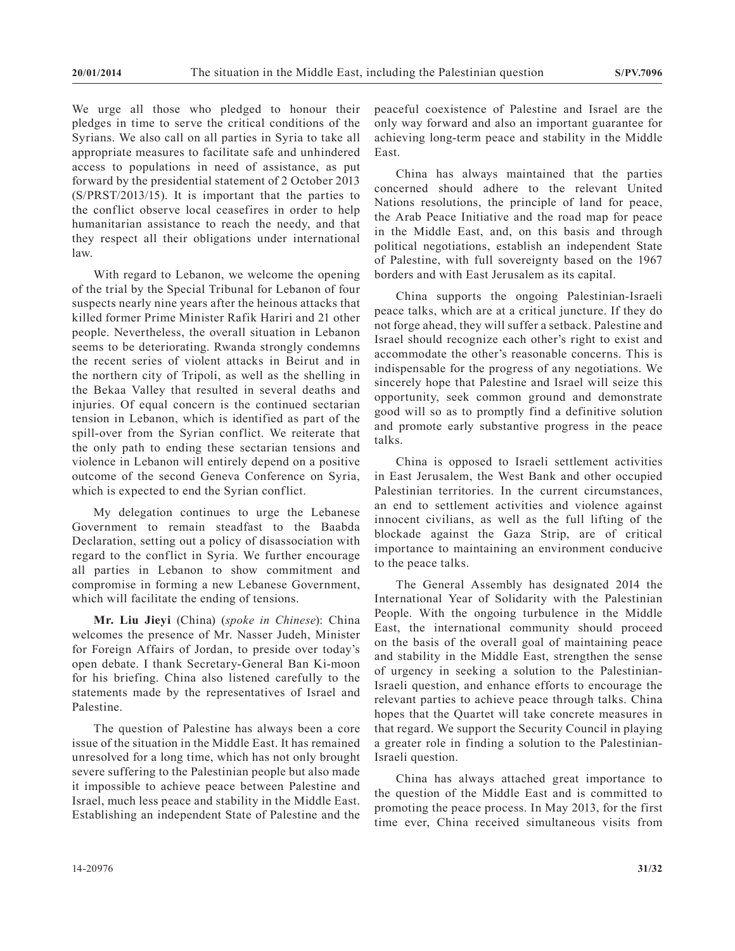We urge all those who pledged to honour their pledges in time to serve the critical conditions of the Syrians. We also call on all parties in Syria to take all appropriate measures to facilitate safe and unhindered access to populations in need of assistance, as put forward by the presidential statement of 2 October 2013 (S/PRST/2013/15). It is important that the parties to the conflict observe local ceasefires in order to help humanitarian assistance to reach the needy, and that they respect all their obligations under international law.

With regard to Lebanon, we welcome the opening of the trial by the Special Tribunal for Lebanon of four suspects nearly nine years after the heinous attacks that killed former Prime Minister Rafik Hariri and 21 other people. Nevertheless, the overall situation in Lebanon seems to be deteriorating. Rwanda strongly condemns the recent series of violent attacks in Beirut and in the northern city of Tripoli, as well as the shelling in the Bekaa Valley that resulted in several deaths and injuries. Of equal concern is the continued sectarian tension in Lebanon, which is identified as part of the spill-over from the Syrian conflict. We reiterate that the only path to ending these sectarian tensions and violence in Lebanon will entirely depend on a positive outcome of the second Geneva Conference on Syria, which is expected to end the Syrian conflict.

My delegation continues to urge the Lebanese Government to remain steadfast to the Baabda Declaration, setting out a policy of disassociation with regard to the conflict in Syria. We further encourage all parties in Lebanon to show commitment and compromise in forming a new Lebanese Government, which will facilitate the ending of tensions.

**Mr. Liu Jieyi** (China) (*spoke in Chinese*): China welcomes the presence of Mr. Nasser Judeh, Minister for Foreign Affairs of Jordan, to preside over today's open debate. I thank Secretary-General Ban Ki-moon for his briefing. China also listened carefully to the statements made by the representatives of Israel and Palestine.

The question of Palestine has always been a core issue of the situation in the Middle East. It has remained unresolved for a long time, which has not only brought severe suffering to the Palestinian people but also made it impossible to achieve peace between Palestine and Israel, much less peace and stability in the Middle East. Establishing an independent State of Palestine and the

peaceful coexistence of Palestine and Israel are the only way forward and also an important guarantee for achieving long-term peace and stability in the Middle East.

China has always maintained that the parties concerned should adhere to the relevant United Nations resolutions, the principle of land for peace, the Arab Peace Initiative and the road map for peace in the Middle East, and, on this basis and through political negotiations, establish an independent State of Palestine, with full sovereignty based on the 1967 borders and with East Jerusalem as its capital.

China supports the ongoing Palestinian-Israeli peace talks, which are at a critical juncture. If they do not forge ahead, they will suffer a setback. Palestine and Israel should recognize each other's right to exist and accommodate the other's reasonable concerns. This is indispensable for the progress of any negotiations. We sincerely hope that Palestine and Israel will seize this opportunity, seek common ground and demonstrate good will so as to promptly find a definitive solution and promote early substantive progress in the peace talks.

China is opposed to Israeli settlement activities in East Jerusalem, the West Bank and other occupied Palestinian territories. In the current circumstances, an end to settlement activities and violence against innocent civilians, as well as the full lifting of the blockade against the Gaza Strip, are of critical importance to maintaining an environment conducive to the peace talks.

The General Assembly has designated 2014 the International Year of Solidarity with the Palestinian People. With the ongoing turbulence in the Middle East, the international community should proceed on the basis of the overall goal of maintaining peace and stability in the Middle East, strengthen the sense of urgency in seeking a solution to the Palestinian-Israeli question, and enhance efforts to encourage the relevant parties to achieve peace through talks. China hopes that the Quartet will take concrete measures in that regard. We support the Security Council in playing a greater role in finding a solution to the Palestinian-Israeli question.

China has always attached great importance to the question of the Middle East and is committed to promoting the peace process. In May 2013, for the first time ever, China received simultaneous visits from